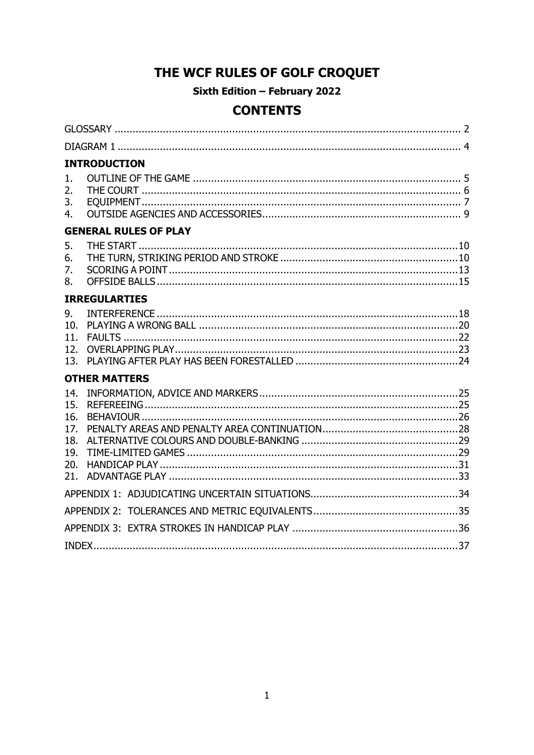# THE WCF RULES OF GOLF CROQUET

Sixth Edition - February 2022

## **CONTENTS**

|                                        | <b>INTRODUCTION</b>          |  |
|----------------------------------------|------------------------------|--|
| 1.<br>2.<br>3.<br>4.                   |                              |  |
|                                        | <b>GENERAL RULES OF PLAY</b> |  |
| 5.<br>6.<br>7.<br>8.                   |                              |  |
|                                        | <b>IRREGULARTIES</b>         |  |
| 9.<br>10.<br>11.<br>12.<br>13.         |                              |  |
|                                        | <b>OTHER MATTERS</b>         |  |
| 14.<br>15.<br>16.<br>17.<br>18.<br>19. |                              |  |
| 20.<br>21.                             |                              |  |
|                                        |                              |  |
|                                        |                              |  |
|                                        |                              |  |
|                                        |                              |  |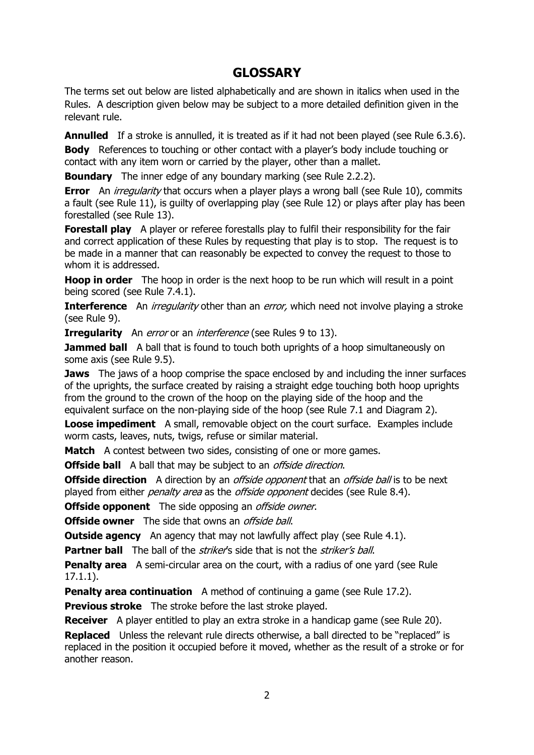## **GLOSSARY**

<span id="page-1-0"></span>The terms set out below are listed alphabetically and are shown in italics when used in the Rules. A description given below may be subject to a more detailed definition given in the relevant rule.

**Annulled** If a stroke is annulled, it is treated as if it had not been played (see Rule 6.3.6).

**Body** References to touching or other contact with a player's body include touching or contact with any item worn or carried by the player, other than a mallet.

**Boundary** The inner edge of any boundary marking (see Rule 2.2.2).

**Error** An *irregularity* that occurs when a player plays a wrong ball (see Rule 10), commits a fault (see Rule 11), is guilty of overlapping play (see Rule 12) or plays after play has been forestalled (see Rule 13).

**Forestall play** A player or referee forestalls play to fulfil their responsibility for the fair and correct application of these Rules by requesting that play is to stop. The request is to be made in a manner that can reasonably be expected to convey the request to those to whom it is addressed.

**Hoop in order** The hoop in order is the next hoop to be run which will result in a point being scored (see Rule 7.4.1).

**Interference** An *irregularity* other than an *error*, which need not involve playing a stroke (see Rule 9).

**Irregularity** An *error* or an *interference* (see Rules 9 to 13).

**Jammed ball** A ball that is found to touch both uprights of a hoop simultaneously on some axis (see Rule 9.5).

**Jaws** The jaws of a hoop comprise the space enclosed by and including the inner surfaces of the uprights, the surface created by raising a straight edge touching both hoop uprights from the ground to the crown of the hoop on the playing side of the hoop and the equivalent surface on the non-playing side of the hoop (see Rule 7.1 and Diagram 2).

**Loose impediment** A small, removable object on the court surface. Examples include worm casts, leaves, nuts, twigs, refuse or similar material.

**Match** A contest between two sides, consisting of one or more games.

**Offside ball** A ball that may be subject to an *offside direction*.

**Offside direction** A direction by an *offside opponent* that an *offside ball* is to be next played from either *penalty area* as the *offside opponent* decides (see Rule 8.4).

**Offside opponent** The side opposing an *offside owner*.

**Offside owner** The side that owns an *offside ball*.

**Outside agency** An agency that may not lawfully affect play (see Rule 4.1).

**Partner ball** The ball of the *striker's* side that is not the *striker's ball*.

**Penalty area** A semi-circular area on the court, with a radius of one vard (see Rule 17.1.1).

**Penalty area continuation** A method of continuing a game (see Rule 17.2).

**Previous stroke** The stroke before the last stroke played.

**Receiver** A player entitled to play an extra stroke in a handicap game (see Rule 20).

**Replaced** Unless the relevant rule directs otherwise, a ball directed to be "replaced" is replaced in the position it occupied before it moved, whether as the result of a stroke or for another reason.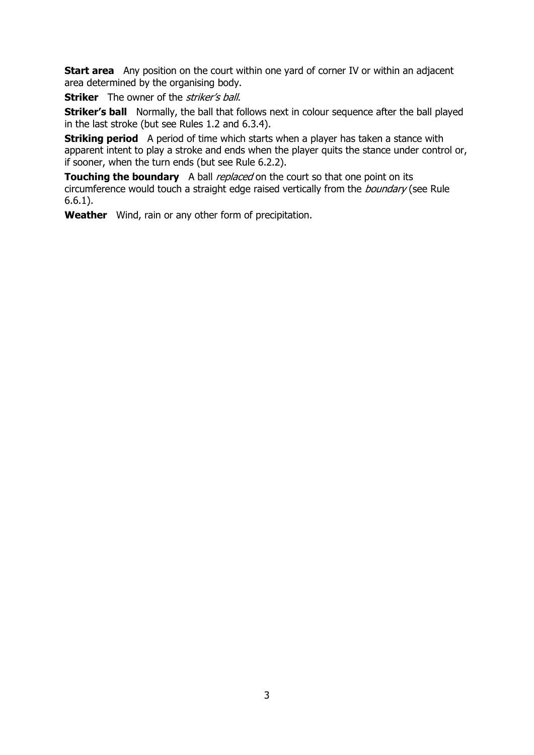**Start area** Any position on the court within one yard of corner IV or within an adjacent area determined by the organising body.

**Striker** The owner of the *striker's ball*.

**Striker's ball** Normally, the ball that follows next in colour sequence after the ball played in the last stroke (but see Rules 1.2 and 6.3.4).

**Striking period** A period of time which starts when a player has taken a stance with apparent intent to play a stroke and ends when the player quits the stance under control or, if sooner, when the turn ends (but see Rule 6.2.2).

**Touching the boundary** A ball *replaced* on the court so that one point on its circumference would touch a straight edge raised vertically from the *boundary* (see Rule 6.6.1).

**Weather** Wind, rain or any other form of precipitation.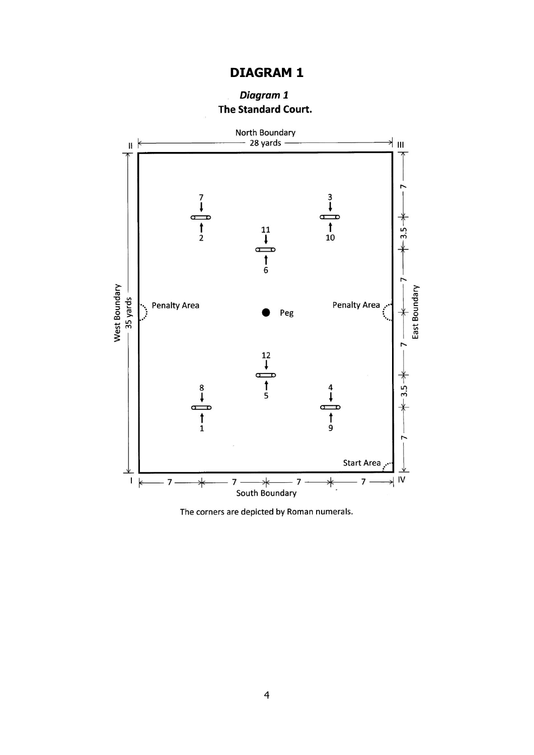## **DIAGRAM 1**

### Diagram 1 The Standard Court.

<span id="page-3-0"></span>

The corners are depicted by Roman numerals.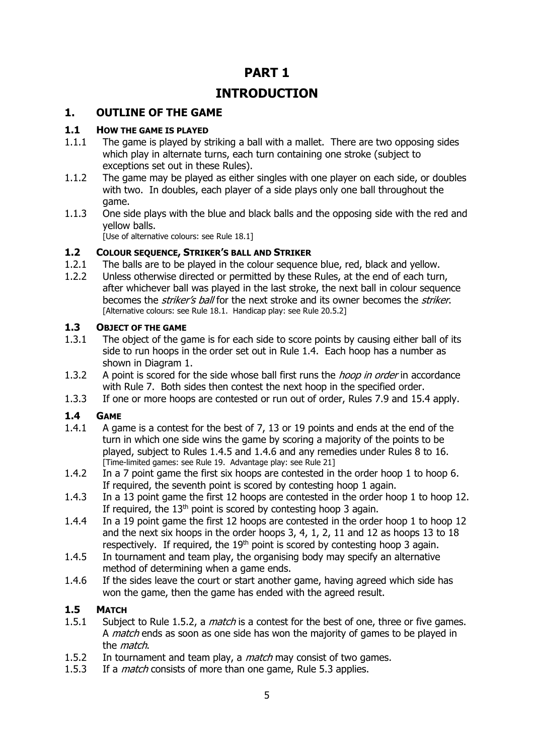## **PART 1**

## **INTRODUCTION**

### <span id="page-4-0"></span>**1. OUTLINE OF THE GAME**

### **1.1 HOW THE GAME IS PLAYED**

- 1.1.1 The game is played by striking a ball with a mallet. There are two opposing sides which play in alternate turns, each turn containing one stroke (subject to exceptions set out in these Rules).
- 1.1.2 The game may be played as either singles with one player on each side, or doubles with two. In doubles, each player of a side plays only one ball throughout the game.
- 1.1.3 One side plays with the blue and black balls and the opposing side with the red and yellow balls.

[Use of alternative colours: see Rule 18.1]

### **1.2 COLOUR SEQUENCE, STRIKER'S BALL AND STRIKER**

- 1.2.1 The balls are to be played in the colour sequence blue, red, black and yellow.
- 1.2.2 Unless otherwise directed or permitted by these Rules, at the end of each turn, after whichever ball was played in the last stroke, the next ball in colour sequence becomes the *striker's ball* for the next stroke and its owner becomes the *striker*. [Alternative colours: see Rule 18.1. Handicap play: see Rule 20.5.2]

### **1.3 OBJECT OF THE GAME**

- 1.3.1 The object of the game is for each side to score points by causing either ball of its side to run hoops in the order set out in Rule 1.4. Each hoop has a number as shown in Diagram 1.
- 1.3.2 A point is scored for the side whose ball first runs the *hoop in order* in accordance with Rule 7. Both sides then contest the next hoop in the specified order.
- 1.3.3 If one or more hoops are contested or run out of order, Rules 7.9 and 15.4 apply.

### **1.4 GAME**

- 1.4.1 A game is a contest for the best of 7, 13 or 19 points and ends at the end of the turn in which one side wins the game by scoring a majority of the points to be played, subject to Rules 1.4.5 and 1.4.6 and any remedies under Rules 8 to 16. [Time-limited games: see Rule 19. Advantage play: see Rule 21]
- 1.4.2 In a 7 point game the first six hoops are contested in the order hoop 1 to hoop 6. If required, the seventh point is scored by contesting hoop 1 again.
- 1.4.3 In a 13 point game the first 12 hoops are contested in the order hoop 1 to hoop 12. If required, the  $13<sup>th</sup>$  point is scored by contesting hoop 3 again.
- 1.4.4 In a 19 point game the first 12 hoops are contested in the order hoop 1 to hoop 12 and the next six hoops in the order hoops 3, 4, 1, 2, 11 and 12 as hoops 13 to 18 respectively. If required, the  $19<sup>th</sup>$  point is scored by contesting hoop 3 again.
- 1.4.5 In tournament and team play, the organising body may specify an alternative method of determining when a game ends.
- 1.4.6 If the sides leave the court or start another game, having agreed which side has won the game, then the game has ended with the agreed result.

### **1.5 MATCH**

- 1.5.1 Subject to Rule 1.5.2, a *match* is a contest for the best of one, three or five games. A *match* ends as soon as one side has won the majority of games to be played in the match.
- 1.5.2 In tournament and team play, a *match* may consist of two games.
- 1.5.3 If a *match* consists of more than one game, Rule 5.3 applies.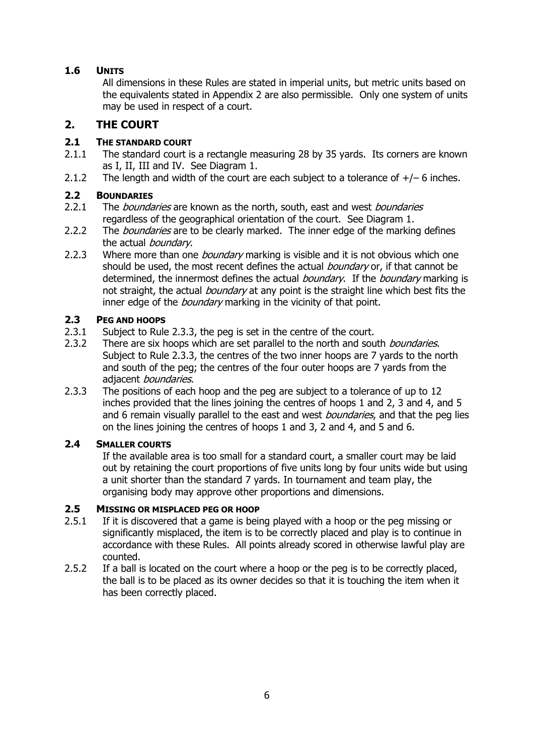### **1.6 UNITS**

All dimensions in these Rules are stated in imperial units, but metric units based on the equivalents stated in Appendix 2 are also permissible. Only one system of units may be used in respect of a court.

### <span id="page-5-0"></span>**2. THE COURT**

### **2.1 THE STANDARD COURT**

- 2.1.1 The standard court is a rectangle measuring 28 by 35 yards. Its corners are known as I, II, III and IV. See Diagram 1.
- 2.1.2 The length and width of the court are each subject to a tolerance of  $+/-$  6 inches.

### **2.2 BOUNDARIES**

- 2.2.1 The *boundaries* are known as the north, south, east and west *boundaries* regardless of the geographical orientation of the court. See Diagram 1.
- 2.2.2 The *boundaries* are to be clearly marked. The inner edge of the marking defines the actual *boundary*.
- 2.2.3 Where more than one *boundary* marking is visible and it is not obvious which one should be used, the most recent defines the actual *boundary* or, if that cannot be determined, the innermost defines the actual *boundary*. If the *boundary* marking is not straight, the actual *boundary* at any point is the straight line which best fits the inner edge of the *boundary* marking in the vicinity of that point.

### **2.3 PEG AND HOOPS**

- 2.3.1 Subject to Rule 2.3.3, the peg is set in the centre of the court.
- 2.3.2 There are six hoops which are set parallel to the north and south *boundaries*. Subject to Rule 2.3.3, the centres of the two inner hoops are 7 yards to the north and south of the peg; the centres of the four outer hoops are 7 yards from the adjacent *boundaries*.
- 2.3.3 The positions of each hoop and the peg are subject to a tolerance of up to 12 inches provided that the lines joining the centres of hoops 1 and 2, 3 and 4, and 5 and 6 remain visually parallel to the east and west *boundaries*, and that the peg lies on the lines joining the centres of hoops 1 and 3, 2 and 4, and 5 and 6.

### **2.4 SMALLER COURTS**

If the available area is too small for a standard court, a smaller court may be laid out by retaining the court proportions of five units long by four units wide but using a unit shorter than the standard 7 yards. In tournament and team play, the organising body may approve other proportions and dimensions.

### **2.5 MISSING OR MISPLACED PEG OR HOOP**

- 2.5.1 If it is discovered that a game is being played with a hoop or the peg missing or significantly misplaced, the item is to be correctly placed and play is to continue in accordance with these Rules. All points already scored in otherwise lawful play are counted.
- 2.5.2 If a ball is located on the court where a hoop or the peg is to be correctly placed, the ball is to be placed as its owner decides so that it is touching the item when it has been correctly placed.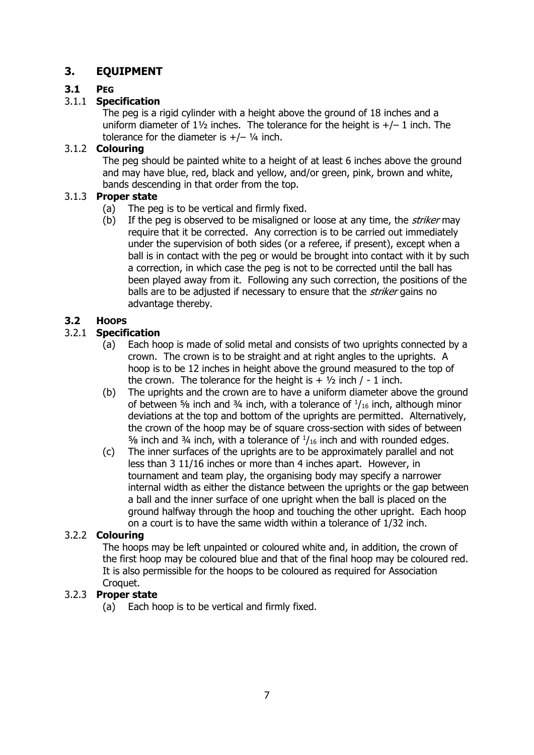### <span id="page-6-0"></span>**3. EQUIPMENT**

### **3.1 PEG**

### 3.1.1 **Specification**

The peg is a rigid cylinder with a height above the ground of 18 inches and a uniform diameter of  $1\frac{1}{2}$  inches. The tolerance for the height is  $+/- 1$  inch. The tolerance for the diameter is  $+/-$  1/4 inch.

#### 3.1.2 **Colouring**

The peg should be painted white to a height of at least 6 inches above the ground and may have blue, red, black and yellow, and/or green, pink, brown and white, bands descending in that order from the top.

### 3.1.3 **Proper state**

- (a) The peg is to be vertical and firmly fixed.
- (b) If the peg is observed to be misaligned or loose at any time, the *striker* may require that it be corrected. Any correction is to be carried out immediately under the supervision of both sides (or a referee, if present), except when a ball is in contact with the peg or would be brought into contact with it by such a correction, in which case the peg is not to be corrected until the ball has been played away from it. Following any such correction, the positions of the balls are to be adjusted if necessary to ensure that the *striker* gains no advantage thereby.

### **3.2 HOOPS**

### 3.2.1 **Specification**

- (a) Each hoop is made of solid metal and consists of two uprights connected by a crown. The crown is to be straight and at right angles to the uprights. A hoop is to be 12 inches in height above the ground measured to the top of the crown. The tolerance for the height is  $+ 1/2$  inch / - 1 inch.
- (b) The uprights and the crown are to have a uniform diameter above the ground of between  $\frac{5}{6}$  inch and  $\frac{3}{4}$  inch, with a tolerance of  $\frac{1}{16}$  inch, although minor deviations at the top and bottom of the uprights are permitted. Alternatively, the crown of the hoop may be of square cross-section with sides of between  $\frac{5}{6}$  inch and  $\frac{3}{4}$  inch, with a tolerance of  $\frac{1}{16}$  inch and with rounded edges.
- (c) The inner surfaces of the uprights are to be approximately parallel and not less than 3 11/16 inches or more than 4 inches apart. However, in tournament and team play, the organising body may specify a narrower internal width as either the distance between the uprights or the gap between a ball and the inner surface of one upright when the ball is placed on the ground halfway through the hoop and touching the other upright. Each hoop on a court is to have the same width within a tolerance of 1/32 inch.

### 3.2.2 **Colouring**

The hoops may be left unpainted or coloured white and, in addition, the crown of the first hoop may be coloured blue and that of the final hoop may be coloured red. It is also permissible for the hoops to be coloured as required for Association Croquet.

### 3.2.3 **Proper state**

(a) Each hoop is to be vertical and firmly fixed.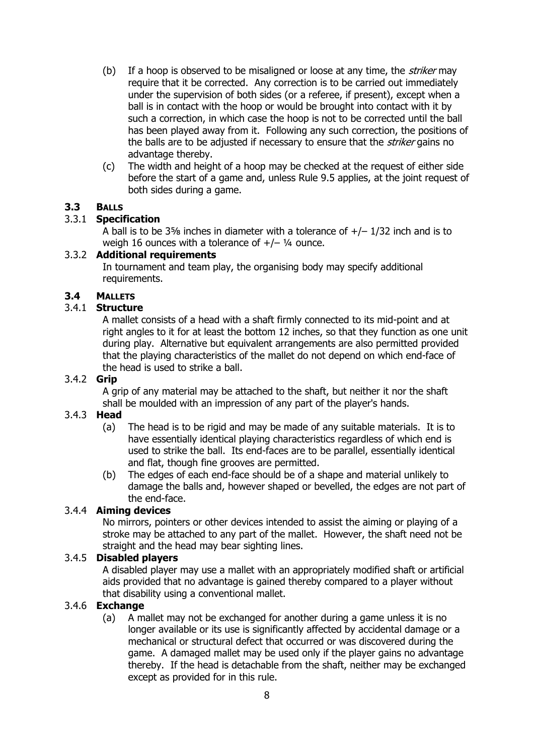- (b) If a hoop is observed to be misaligned or loose at any time, the *striker* may require that it be corrected. Any correction is to be carried out immediately under the supervision of both sides (or a referee, if present), except when a ball is in contact with the hoop or would be brought into contact with it by such a correction, in which case the hoop is not to be corrected until the ball has been played away from it. Following any such correction, the positions of the balls are to be adjusted if necessary to ensure that the *striker* gains no advantage thereby.
- (c) The width and height of a hoop may be checked at the request of either side before the start of a game and, unless Rule 9.5 applies, at the joint request of both sides during a game.

#### **3.3 BALLS**

#### 3.3.1 **Specification**

A ball is to be  $3\frac{5}{8}$  inches in diameter with a tolerance of  $+/-1/32$  inch and is to weigh 16 ounces with a tolerance of  $+/-$  1/4 ounce.

#### 3.3.2 **Additional requirements**

In tournament and team play, the organising body may specify additional requirements.

#### **3.4 MALLETS**

#### 3.4.1 **Structure**

A mallet consists of a head with a shaft firmly connected to its mid-point and at right angles to it for at least the bottom 12 inches, so that they function as one unit during play. Alternative but equivalent arrangements are also permitted provided that the playing characteristics of the mallet do not depend on which end-face of the head is used to strike a ball.

#### 3.4.2 **Grip**

A grip of any material may be attached to the shaft, but neither it nor the shaft shall be moulded with an impression of any part of the player's hands.

#### 3.4.3 **Head**

- (a) The head is to be rigid and may be made of any suitable materials. It is to have essentially identical playing characteristics regardless of which end is used to strike the ball. Its end-faces are to be parallel, essentially identical and flat, though fine grooves are permitted.
- (b) The edges of each end-face should be of a shape and material unlikely to damage the balls and, however shaped or bevelled, the edges are not part of the end-face.

#### 3.4.4 **Aiming devices**

No mirrors, pointers or other devices intended to assist the aiming or playing of a stroke may be attached to any part of the mallet. However, the shaft need not be straight and the head may bear sighting lines.

#### 3.4.5 **Disabled players**

A disabled player may use a mallet with an appropriately modified shaft or artificial aids provided that no advantage is gained thereby compared to a player without that disability using a conventional mallet.

#### 3.4.6 **Exchange**

(a) A mallet may not be exchanged for another during a game unless it is no longer available or its use is significantly affected by accidental damage or a mechanical or structural defect that occurred or was discovered during the game. A damaged mallet may be used only if the player gains no advantage thereby. If the head is detachable from the shaft, neither may be exchanged except as provided for in this rule.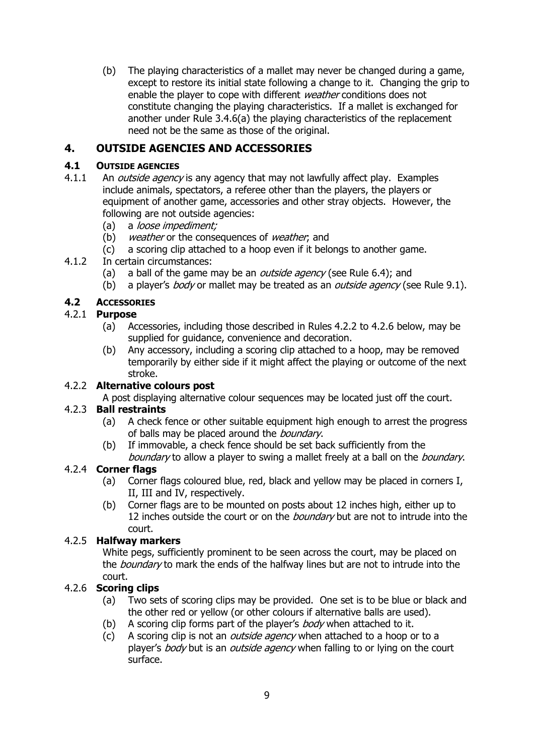(b) The playing characteristics of a mallet may never be changed during a game, except to restore its initial state following a change to it. Changing the grip to enable the player to cope with different *weather* conditions does not constitute changing the playing characteristics. If a mallet is exchanged for another under Rule 3.4.6(a) the playing characteristics of the replacement need not be the same as those of the original.

### <span id="page-8-0"></span>**4. OUTSIDE AGENCIES AND ACCESSORIES**

#### **4.1 OUTSIDE AGENCIES**

- 4.1.1 An *outside agency* is any agency that may not lawfully affect play. Examples include animals, spectators, a referee other than the players, the players or equipment of another game, accessories and other stray objects. However, the following are not outside agencies:
	- (a) a *loose impediment;*
	- (b) weather or the consequences of weather, and
	- (c) a scoring clip attached to a hoop even if it belongs to another game.
- 4.1.2 In certain circumstances:
	- (a) a ball of the game may be an *outside agency* (see Rule 6.4); and
	- (b) a player's *body* or mallet may be treated as an *outside agency* (see Rule 9.1).

### **4.2 ACCESSORIES**

#### 4.2.1 **Purpose**

- (a) Accessories, including those described in Rules 4.2.2 to 4.2.6 below, may be supplied for guidance, convenience and decoration.
- (b) Any accessory, including a scoring clip attached to a hoop, may be removed temporarily by either side if it might affect the playing or outcome of the next stroke.

### 4.2.2 **Alternative colours post**

A post displaying alternative colour sequences may be located just off the court.

### 4.2.3 **Ball restraints**

- (a) A check fence or other suitable equipment high enough to arrest the progress of balls may be placed around the *boundary*.
- (b) If immovable, a check fence should be set back sufficiently from the boundary to allow a player to swing a mallet freely at a ball on the *boundary*.

### 4.2.4 **Corner flags**

- (a) Corner flags coloured blue, red, black and yellow may be placed in corners I, II, III and IV, respectively.
- (b) Corner flags are to be mounted on posts about 12 inches high, either up to 12 inches outside the court or on the *boundary* but are not to intrude into the court.

### 4.2.5 **Halfway markers**

White pegs, sufficiently prominent to be seen across the court, may be placed on the *boundary* to mark the ends of the halfway lines but are not to intrude into the court.

### 4.2.6 **Scoring clips**

- (a) Two sets of scoring clips may be provided. One set is to be blue or black and the other red or yellow (or other colours if alternative balls are used).
- (b) A scoring clip forms part of the player's  $body$  when attached to it.
- (c) A scoring clip is not an *outside agency* when attached to a hoop or to a player's body but is an outside agency when falling to or lying on the court surface.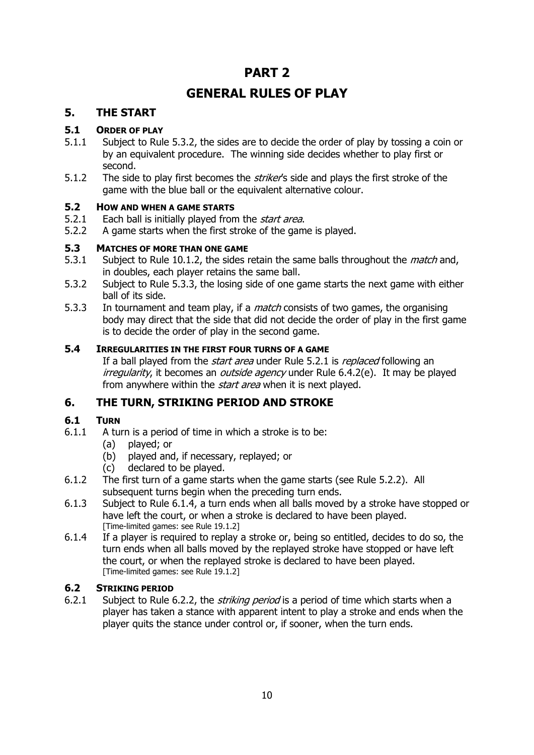## **PART 2**

## **GENERAL RULES OF PLAY**

### <span id="page-9-0"></span>**5. THE START**

### **5.1 ORDER OF PLAY**

- 5.1.1 Subject to Rule 5.3.2, the sides are to decide the order of play by tossing a coin or by an equivalent procedure. The winning side decides whether to play first or second.
- 5.1.2 The side to play first becomes the *striker'*s side and plays the first stroke of the game with the blue ball or the equivalent alternative colour.

### **5.2 HOW AND WHEN A GAME STARTS**

- 5.2.1 Each ball is initially played from the *start area*.
- 5.2.2 A game starts when the first stroke of the game is played.

### **5.3 MATCHES OF MORE THAN ONE GAME**

- 5.3.1 Subject to Rule 10.1.2, the sides retain the same balls throughout the *match* and, in doubles, each player retains the same ball.
- 5.3.2 Subject to Rule 5.3.3, the losing side of one game starts the next game with either ball of its side.
- 5.3.3 In tournament and team play, if a *match* consists of two games, the organising body may direct that the side that did not decide the order of play in the first game is to decide the order of play in the second game.

### **5.4 IRREGULARITIES IN THE FIRST FOUR TURNS OF A GAME**

If a ball played from the *start area* under Rule 5.2.1 is *replaced* following an irregularity, it becomes an *outside agency* under Rule 6.4.2(e). It may be played from anywhere within the *start area* when it is next played.

### <span id="page-9-1"></span>**6. THE TURN, STRIKING PERIOD AND STROKE**

### **6.1 TURN**

- 6.1.1 A turn is a period of time in which a stroke is to be:
	- (a) played; or
	- (b) played and, if necessary, replayed; or
	- (c) declared to be played.
- 6.1.2 The first turn of a game starts when the game starts (see Rule 5.2.2). All subsequent turns begin when the preceding turn ends.
- 6.1.3 Subject to Rule 6.1.4, a turn ends when all balls moved by a stroke have stopped or have left the court, or when a stroke is declared to have been played. [Time-limited games: see Rule 19.1.2]
- 6.1.4 If a player is required to replay a stroke or, being so entitled, decides to do so, the turn ends when all balls moved by the replayed stroke have stopped or have left the court, or when the replayed stroke is declared to have been played. [Time-limited games: see Rule 19.1.2]

### **6.2 STRIKING PERIOD**

6.2.1 Subject to Rule 6.2.2, the *striking period* is a period of time which starts when a player has taken a stance with apparent intent to play a stroke and ends when the player quits the stance under control or, if sooner, when the turn ends.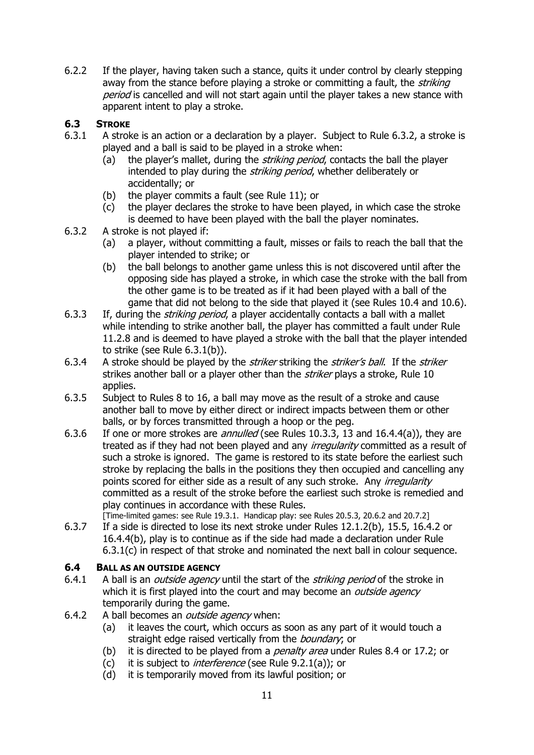6.2.2 If the player, having taken such a stance, quits it under control by clearly stepping away from the stance before playing a stroke or committing a fault, the *striking* period is cancelled and will not start again until the player takes a new stance with apparent intent to play a stroke.

### **6.3 STROKE**

- 6.3.1 A stroke is an action or a declaration by a player. Subject to Rule 6.3.2, a stroke is played and a ball is said to be played in a stroke when:
	- (a) the player's mallet, during the *striking period*, contacts the ball the player intended to play during the *striking period*, whether deliberately or accidentally; or
	- (b) the player commits a fault (see Rule 11); or
	- (c) the player declares the stroke to have been played, in which case the stroke is deemed to have been played with the ball the player nominates.
- 6.3.2 A stroke is not played if:
	- (a) a player, without committing a fault, misses or fails to reach the ball that the player intended to strike; or
	- (b) the ball belongs to another game unless this is not discovered until after the opposing side has played a stroke, in which case the stroke with the ball from the other game is to be treated as if it had been played with a ball of the game that did not belong to the side that played it (see Rules 10.4 and 10.6).
- 6.3.3 If, during the *striking period*, a player accidentally contacts a ball with a mallet while intending to strike another ball, the player has committed a fault under Rule 11.2.8 and is deemed to have played a stroke with the ball that the player intended to strike (see Rule 6.3.1(b)).
- 6.3.4 A stroke should be played by the *striker* striking the *striker's ball*. If the *striker* strikes another ball or a player other than the *striker* plays a stroke, Rule 10 applies.
- 6.3.5 Subject to Rules 8 to 16, a ball may move as the result of a stroke and cause another ball to move by either direct or indirect impacts between them or other balls, or by forces transmitted through a hoop or the peg.
- 6.3.6 If one or more strokes are *annulled* (see Rules 10.3.3, 13 and 16.4.4(a)), they are treated as if they had not been played and any *irregularity* committed as a result of such a stroke is ignored. The game is restored to its state before the earliest such stroke by replacing the balls in the positions they then occupied and cancelling any points scored for either side as a result of any such stroke. Any *irregularity* committed as a result of the stroke before the earliest such stroke is remedied and play continues in accordance with these Rules.
	- [Time-limited games: see Rule 19.3.1. Handicap play: see Rules 20.5.3, 20.6.2 and 20.7.2]
- 6.3.7 If a side is directed to lose its next stroke under Rules 12.1.2(b), 15.5, 16.4.2 or 16.4.4(b), play is to continue as if the side had made a declaration under Rule 6.3.1(c) in respect of that stroke and nominated the next ball in colour sequence.

### **6.4 BALL AS AN OUTSIDE AGENCY**

- 6.4.1 A ball is an *outside agency* until the start of the *striking period* of the stroke in which it is first played into the court and may become an *outside agency* temporarily during the game.
- 6.4.2 A ball becomes an *outside agency* when:
	- (a) it leaves the court, which occurs as soon as any part of it would touch a straight edge raised vertically from the *boundary*; or
	- (b) it is directed to be played from a *penalty area* under Rules 8.4 or 17.2; or
	- (c) it is subject to *interference* (see Rule 9.2.1(a)); or
	- (d) it is temporarily moved from its lawful position; or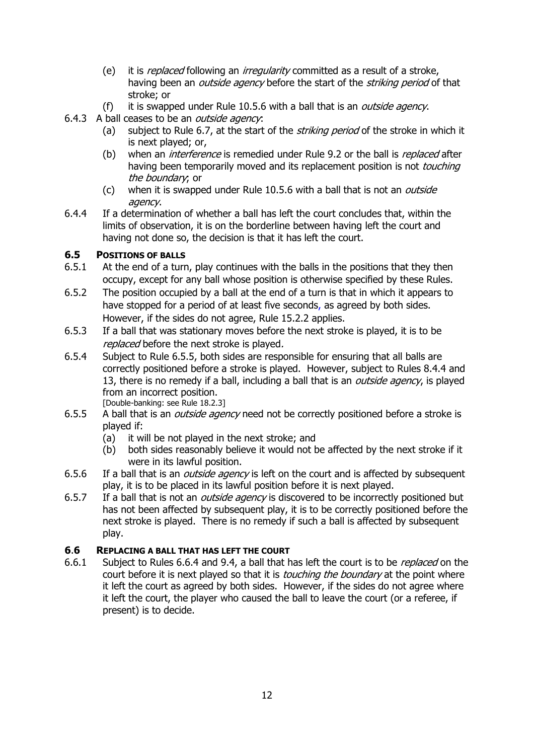- (e) it is *replaced* following an *irregularity* committed as a result of a stroke, having been an *outside agency* before the start of the *striking period* of that stroke; or
- (f) it is swapped under Rule 10.5.6 with a ball that is an *outside agency*.
- 6.4.3 A ball ceases to be an *outside agency*:
	- (a) subject to Rule 6.7, at the start of the *striking period* of the stroke in which it is next played; or,
	- (b) when an *interference* is remedied under Rule 9.2 or the ball is *replaced* after having been temporarily moved and its replacement position is not touching the boundary; or
	- (c) when it is swapped under Rule 10.5.6 with a ball that is not an *outside* agency.
- 6.4.4 If a determination of whether a ball has left the court concludes that, within the limits of observation, it is on the borderline between having left the court and having not done so, the decision is that it has left the court.

### **6.5 POSITIONS OF BALLS**

- 6.5.1 At the end of a turn, play continues with the balls in the positions that they then occupy, except for any ball whose position is otherwise specified by these Rules.
- 6.5.2 The position occupied by a ball at the end of a turn is that in which it appears to have stopped for a period of at least five seconds, as agreed by both sides. However, if the sides do not agree, Rule 15.2.2 applies.
- 6.5.3 If a ball that was stationary moves before the next stroke is played, it is to be replaced before the next stroke is played.
- 6.5.4 Subject to Rule 6.5.5, both sides are responsible for ensuring that all balls are correctly positioned before a stroke is played. However, subject to Rules 8.4.4 and 13, there is no remedy if a ball, including a ball that is an *outside agency*, is played from an incorrect position.

[Double-banking: see Rule 18.2.3]

- 6.5.5 A ball that is an *outside agency* need not be correctly positioned before a stroke is played if:
	- (a) it will be not played in the next stroke; and
	- (b) both sides reasonably believe it would not be affected by the next stroke if it were in its lawful position.
- 6.5.6 If a ball that is an *outside agency* is left on the court and is affected by subsequent play, it is to be placed in its lawful position before it is next played.
- 6.5.7 If a ball that is not an *outside agency* is discovered to be incorrectly positioned but has not been affected by subsequent play, it is to be correctly positioned before the next stroke is played. There is no remedy if such a ball is affected by subsequent play.

### **6**.**6 REPLACING A BALL THAT HAS LEFT THE COURT**

6.6.1 Subject to Rules 6.6.4 and 9.4, a ball that has left the court is to be replaced on the court before it is next played so that it is *touching the boundary* at the point where it left the court as agreed by both sides. However, if the sides do not agree where it left the court, the player who caused the ball to leave the court (or a referee, if present) is to decide.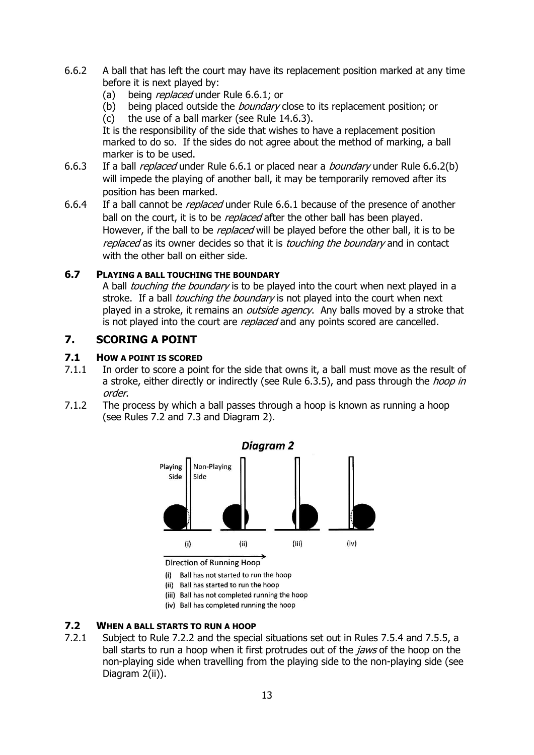- 6.6.2 A ball that has left the court may have its replacement position marked at any time before it is next played by:
	- (a) being *replaced* under Rule 6.6.1; or
	- (b) being placed outside the *boundary* close to its replacement position; or
	- (c) the use of a ball marker (see Rule 14.6.3).

It is the responsibility of the side that wishes to have a replacement position marked to do so. If the sides do not agree about the method of marking, a ball marker is to be used.

- 6.6.3 If a ball *replaced* under Rule 6.6.1 or placed near a *boundary* under Rule 6.6.2(b) will impede the playing of another ball, it may be temporarily removed after its position has been marked.
- 6.6.4 If a ball cannot be *replaced* under Rule 6.6.1 because of the presence of another ball on the court, it is to be *replaced* after the other ball has been played. However, if the ball to be *replaced* will be played before the other ball, it is to be replaced as its owner decides so that it is *touching the boundary* and in contact with the other ball on either side.

#### **6.7 PLAYING A BALL TOUCHING THE BOUNDARY**

A ball *touching the boundary* is to be played into the court when next played in a stroke. If a ball *touching the boundary* is not played into the court when next played in a stroke, it remains an *outside agency*. Any balls moved by a stroke that is not played into the court are *replaced* and any points scored are cancelled.

### <span id="page-12-0"></span>**7. SCORING A POINT**

#### **7.1 HOW A POINT IS SCORED**

- 7.1.1 In order to score a point for the side that owns it, a ball must move as the result of a stroke, either directly or indirectly (see Rule 6.3.5), and pass through the *hoop in* order.
- 7.1.2 The process by which a ball passes through a hoop is known as running a hoop (see Rules 7.2 and 7.3 and Diagram 2).



Direction of Running Hoop

- (i) Ball has not started to run the hoop
- (ii) Ball has started to run the hoop
- (iii) Ball has not completed running the hoop
- (iv) Ball has completed running the hoop

#### **7.2 WHEN A BALL STARTS TO RUN A HOOP**

7.2.1 Subject to Rule 7.2.2 and the special situations set out in Rules 7.5.4 and 7.5.5, a ball starts to run a hoop when it first protrudes out of the *jaws* of the hoop on the non-playing side when travelling from the playing side to the non-playing side (see Diagram 2(ii)).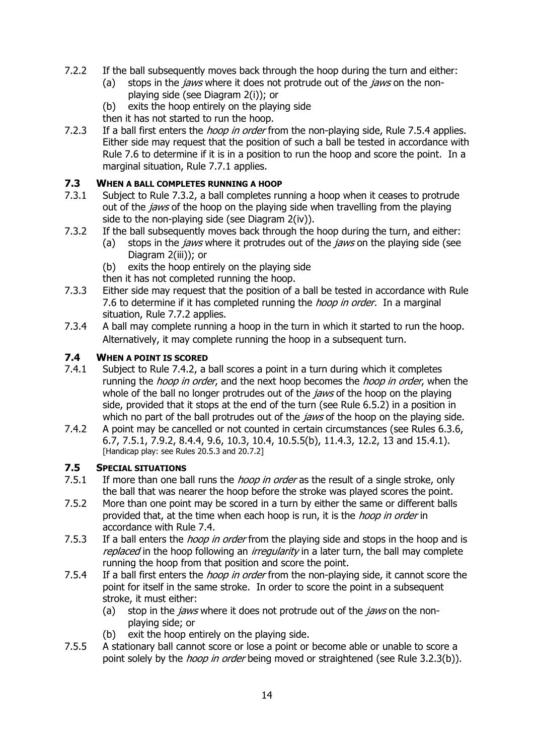- 7.2.2 If the ball subsequently moves back through the hoop during the turn and either:
	- (a) stops in the *jaws* where it does not protrude out of the *jaws* on the nonplaying side (see Diagram 2(i)); or
	- (b) exits the hoop entirely on the playing side
	- then it has not started to run the hoop.
- 7.2.3 If a ball first enters the *hoop in order* from the non-playing side, Rule 7.5.4 applies. Either side may request that the position of such a ball be tested in accordance with Rule 7.6 to determine if it is in a position to run the hoop and score the point. In a marginal situation, Rule 7.7.1 applies.

#### **7.3 WHEN A BALL COMPLETES RUNNING A HOOP**

- 7.3.1 Subject to Rule 7.3.2, a ball completes running a hoop when it ceases to protrude out of the *jaws* of the hoop on the playing side when travelling from the playing side to the non-playing side (see Diagram 2(iv)).
- 7.3.2 If the ball subsequently moves back through the hoop during the turn, and either:
	- (a) stops in the *jaws* where it protrudes out of the *jaws* on the playing side (see Diagram 2(iii)); or
	- (b) exits the hoop entirely on the playing side
	- then it has not completed running the hoop.
- 7.3.3 Either side may request that the position of a ball be tested in accordance with Rule 7.6 to determine if it has completed running the *hoop in order*. In a marginal situation, Rule 7.7.2 applies.
- 7.3.4 A ball may complete running a hoop in the turn in which it started to run the hoop. Alternatively, it may complete running the hoop in a subsequent turn.

#### **7.4 WHEN A POINT IS SCORED**

- 7.4.1 Subject to Rule 7.4.2, a ball scores a point in a turn during which it completes running the *hoop in order*, and the next hoop becomes the *hoop in order*, when the whole of the ball no longer protrudes out of the *jaws* of the hoop on the playing side, provided that it stops at the end of the turn (see Rule 6.5.2) in a position in which no part of the ball protrudes out of the *jaws* of the hoop on the playing side.
- 7.4.2 A point may be cancelled or not counted in certain circumstances (see Rules 6.3.6, 6.7, 7.5.1, 7.9.2, 8.4.4, 9.6, 10.3, 10.4, 10.5.5(b), 11.4.3, 12.2, 13 and 15.4.1). [Handicap play: see Rules 20.5.3 and 20.7.2]

#### **7.5 SPECIAL SITUATIONS**

- 7.5.1 If more than one ball runs the *hoop in order* as the result of a single stroke, only the ball that was nearer the hoop before the stroke was played scores the point.
- 7.5.2 More than one point may be scored in a turn by either the same or different balls provided that, at the time when each hoop is run, it is the *hoop in order* in accordance with Rule 7.4.
- 7.5.3 If a ball enters the *hoop in order* from the playing side and stops in the hoop and is replaced in the hoop following an *irregularity* in a later turn, the ball may complete running the hoop from that position and score the point.
- 7.5.4 If a ball first enters the *hoop in order* from the non-playing side, it cannot score the point for itself in the same stroke. In order to score the point in a subsequent stroke, it must either:
	- (a) stop in the *jaws* where it does not protrude out of the *jaws* on the nonplaying side; or
	- (b) exit the hoop entirely on the playing side.
- 7.5.5 A stationary ball cannot score or lose a point or become able or unable to score a point solely by the *hoop in order* being moved or straightened (see Rule 3.2.3(b)).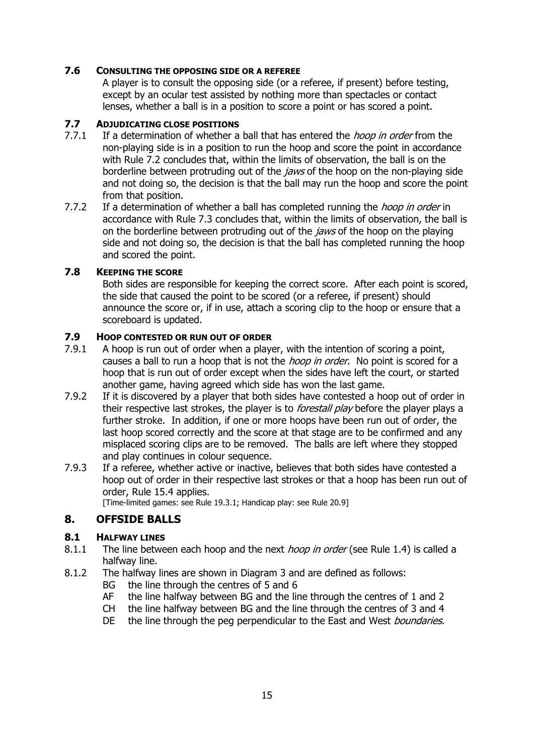#### **7.6 CONSULTING THE OPPOSING SIDE OR A REFEREE**

A player is to consult the opposing side (or a referee, if present) before testing, except by an ocular test assisted by nothing more than spectacles or contact lenses, whether a ball is in a position to score a point or has scored a point.

#### **7.7 ADJUDICATING CLOSE POSITIONS**

- 7.7.1 If a determination of whether a ball that has entered the *hoop in order* from the non-playing side is in a position to run the hoop and score the point in accordance with Rule 7.2 concludes that, within the limits of observation, the ball is on the borderline between protruding out of the *jaws* of the hoop on the non-playing side and not doing so, the decision is that the ball may run the hoop and score the point from that position.
- 7.7.2 If a determination of whether a ball has completed running the *hoop in order* in accordance with Rule 7.3 concludes that, within the limits of observation, the ball is on the borderline between protruding out of the *jaws* of the hoop on the playing side and not doing so, the decision is that the ball has completed running the hoop and scored the point.

#### **7.8 KEEPING THE SCORE**

Both sides are responsible for keeping the correct score. After each point is scored, the side that caused the point to be scored (or a referee, if present) should announce the score or, if in use, attach a scoring clip to the hoop or ensure that a scoreboard is updated.

#### **7.9 HOOP CONTESTED OR RUN OUT OF ORDER**

- 7.9.1 A hoop is run out of order when a player, with the intention of scoring a point, causes a ball to run a hoop that is not the *hoop in order*. No point is scored for a hoop that is run out of order except when the sides have left the court, or started another game, having agreed which side has won the last game.
- 7.9.2 If it is discovered by a player that both sides have contested a hoop out of order in their respective last strokes, the player is to *forestall play* before the player plays a further stroke. In addition, if one or more hoops have been run out of order, the last hoop scored correctly and the score at that stage are to be confirmed and any misplaced scoring clips are to be removed. The balls are left where they stopped and play continues in colour sequence.
- 7.9.3 If a referee, whether active or inactive, believes that both sides have contested a hoop out of order in their respective last strokes or that a hoop has been run out of order, Rule 15.4 applies.

[Time-limited games: see Rule 19.3.1; Handicap play: see Rule 20.9]

### <span id="page-14-0"></span>**8. OFFSIDE BALLS**

#### **8.1 HALFWAY LINES**

- 8.1.1 The line between each hoop and the next *hoop in order* (see Rule 1.4) is called a halfway line.
- 8.1.2 The halfway lines are shown in Diagram 3 and are defined as follows:
	- BG the line through the centres of 5 and 6
	- AF the line halfway between BG and the line through the centres of 1 and 2
	- CH the line halfway between BG and the line through the centres of 3 and 4
	- DE the line through the peg perpendicular to the East and West *boundaries*.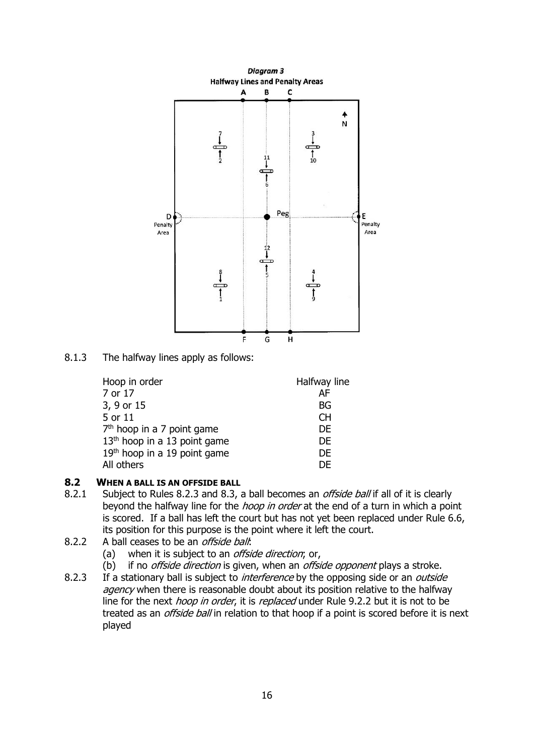

8.1.3 The halfway lines apply as follows:

| Hoop in order                            | Halfway line |
|------------------------------------------|--------------|
| 7 or 17                                  | AF           |
| 3, 9 or 15                               | BG           |
| 5 or 11                                  | CH.          |
| 7 <sup>th</sup> hoop in a 7 point game   | <b>DE</b>    |
| 13 <sup>th</sup> hoop in a 13 point game | DF           |
| 19th hoop in a 19 point game             | DF           |
| All others                               | DE           |

### **8.2 WHEN A BALL IS AN OFFSIDE BALL**

- 8.2.1 Subject to Rules 8.2.3 and 8.3, a ball becomes an *offside ball* if all of it is clearly beyond the halfway line for the *hoop in order* at the end of a turn in which a point is scored. If a ball has left the court but has not yet been replaced under Rule 6.6, its position for this purpose is the point where it left the court.
- 8.2.2 A ball ceases to be an *offside ball*:
	- (a) when it is subject to an *offside direction*; or,
	- (b) if no *offside direction* is given, when an *offside opponent* plays a stroke.
- 8.2.3 If a stationary ball is subject to *interference* by the opposing side or an *outside* agency when there is reasonable doubt about its position relative to the halfway line for the next *hoop in order*, it is *replaced* under Rule 9.2.2 but it is not to be treated as an *offside ball* in relation to that hoop if a point is scored before it is next played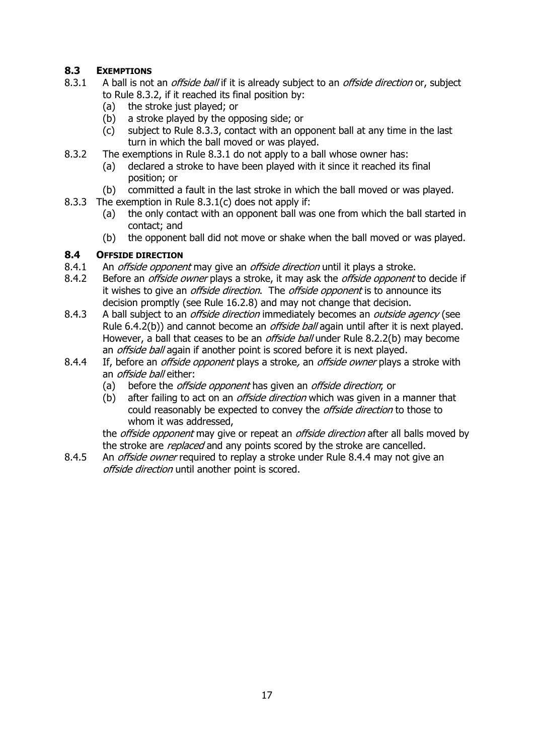### **8.3 EXEMPTIONS**

- 8.3.1 A ball is not an *offside ball* if it is already subject to an *offside direction* or, subject to Rule 8.3.2, if it reached its final position by:
	- (a) the stroke just played; or
	- (b) a stroke played by the opposing side; or
	- (c) subject to Rule 8.3.3, contact with an opponent ball at any time in the last turn in which the ball moved or was played.
- 8.3.2 The exemptions in Rule 8.3.1 do not apply to a ball whose owner has:
	- (a) declared a stroke to have been played with it since it reached its final position; or
	- (b) committed a fault in the last stroke in which the ball moved or was played.
- 8.3.3 The exemption in Rule 8.3.1(c) does not apply if:
	- (a) the only contact with an opponent ball was one from which the ball started in contact; and
	- (b) the opponent ball did not move or shake when the ball moved or was played.

### **8.4 OFFSIDE DIRECTION**

- 8.4.1 An *offside opponent* may give an *offside direction* until it plays a stroke.
- 8.4.2 Before an *offside owner* plays a stroke, it may ask the *offside opponent* to decide if it wishes to give an *offside direction*. The *offside opponent* is to announce its decision promptly (see Rule 16.2.8) and may not change that decision.
- 8.4.3 A ball subject to an *offside direction* immediately becomes an *outside agency* (see Rule 6.4.2(b)) and cannot become an *offside ball* again until after it is next played. However, a ball that ceases to be an *offside ball* under Rule 8.2.2(b) may become an *offside ball* again if another point is scored before it is next played.
- 8.4.4 If, before an *offside opponent* plays a stroke, an *offside owner* plays a stroke with an *offside ball* either:
	- (a) before the *offside opponent* has given an *offside direction*; or
	- (b) after failing to act on an *offside direction* which was given in a manner that could reasonably be expected to convey the *offside direction* to those to whom it was addressed,

the *offside opponent* may give or repeat an *offside direction* after all balls moved by the stroke are *replaced* and any points scored by the stroke are cancelled.

8.4.5 An *offside owner* required to replay a stroke under Rule 8.4.4 may not give an offside direction until another point is scored.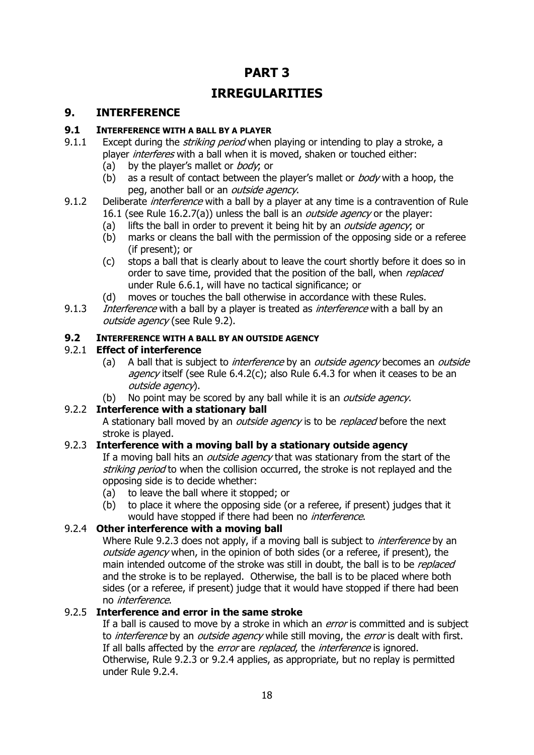# **PART 3 IRREGULARITIES**

### <span id="page-17-0"></span>**9. INTERFERENCE**

#### **9.1 INTERFERENCE WITH A BALL BY A PLAYER**

- 9.1.1 Except during the *striking period* when playing or intending to play a stroke, a player *interferes* with a ball when it is moved, shaken or touched either:
	- (a) by the player's mallet or *body*; or
	- (b) as a result of contact between the player's mallet or  $body$  with a hoop, the peg, another ball or an *outside agency*.
- 9.1.2 Deliberate *interference* with a ball by a player at any time is a contravention of Rule 16.1 (see Rule 16.2.7(a)) unless the ball is an *outside agency* or the player:
	- (a) lifts the ball in order to prevent it being hit by an *outside agency*; or
	- (b) marks or cleans the ball with the permission of the opposing side or a referee (if present); or
	- (c) stops a ball that is clearly about to leave the court shortly before it does so in order to save time, provided that the position of the ball, when replaced under Rule 6.6.1, will have no tactical significance; or
	- (d) moves or touches the ball otherwise in accordance with these Rules.
- 9.1.3 Interference with a ball by a player is treated as *interference* with a ball by an outside agency (see Rule 9.2).

#### **9.2 INTERFERENCE WITH A BALL BY AN OUTSIDE AGENCY**

### 9.2.1 **Effect of interference**

- (a) A ball that is subject to *interference* by an *outside agency* becomes an *outside* agency itself (see Rule 6.4.2(c); also Rule 6.4.3 for when it ceases to be an outside agency).
- (b) No point may be scored by any ball while it is an *outside agency*.

### 9.2.2 **Interference with a stationary ball**

A stationary ball moved by an *outside agency* is to be *replaced* before the next stroke is played.

### 9.2.3 **Interference with a moving ball by a stationary outside agency**

If a moving ball hits an *outside agency* that was stationary from the start of the striking period to when the collision occurred, the stroke is not replayed and the opposing side is to decide whether:

- (a) to leave the ball where it stopped; or
- (b) to place it where the opposing side (or a referee, if present) judges that it would have stopped if there had been no *interference*.

### 9.2.4 **Other interference with a moving ball**

Where Rule 9.2.3 does not apply, if a moving ball is subject to *interference* by an outside agency when, in the opinion of both sides (or a referee, if present), the main intended outcome of the stroke was still in doubt, the ball is to be *replaced* and the stroke is to be replayed. Otherwise, the ball is to be placed where both sides (or a referee, if present) judge that it would have stopped if there had been no interference.

### 9.2.5 **Interference and error in the same stroke**

If a ball is caused to move by a stroke in which an *error* is committed and is subject to *interference* by an *outside agency* while still moving, the *error* is dealt with first. If all balls affected by the *error* are *replaced*, the *interference* is ignored. Otherwise, Rule 9.2.3 or 9.2.4 applies, as appropriate, but no replay is permitted under Rule 9.2.4.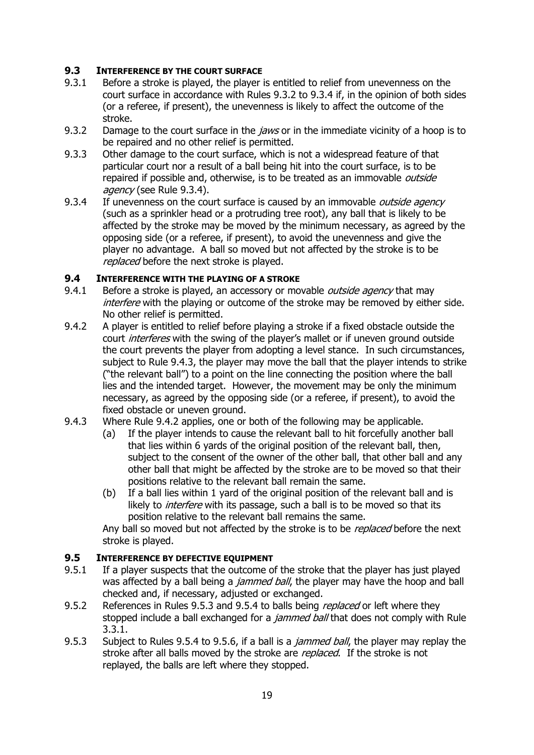### **9.3 INTERFERENCE BY THE COURT SURFACE**

- 9.3.1 Before a stroke is played, the player is entitled to relief from unevenness on the court surface in accordance with Rules 9.3.2 to 9.3.4 if, in the opinion of both sides (or a referee, if present), the unevenness is likely to affect the outcome of the stroke.
- 9.3.2 Damage to the court surface in the *jaws* or in the immediate vicinity of a hoop is to be repaired and no other relief is permitted.
- 9.3.3 Other damage to the court surface, which is not a widespread feature of that particular court nor a result of a ball being hit into the court surface, is to be repaired if possible and, otherwise, is to be treated as an immovable *outside* agency (see Rule 9.3.4).
- 9.3.4 If unevenness on the court surface is caused by an immovable *outside agency* (such as a sprinkler head or a protruding tree root), any ball that is likely to be affected by the stroke may be moved by the minimum necessary, as agreed by the opposing side (or a referee, if present), to avoid the unevenness and give the player no advantage. A ball so moved but not affected by the stroke is to be replaced before the next stroke is played.

#### **9.4 INTERFERENCE WITH THE PLAYING OF A STROKE**

- 9.4.1 Before a stroke is played, an accessory or movable *outside agency* that may interfere with the playing or outcome of the stroke may be removed by either side. No other relief is permitted.
- 9.4.2 A player is entitled to relief before playing a stroke if a fixed obstacle outside the court *interferes* with the swing of the player's mallet or if uneven ground outside the court prevents the player from adopting a level stance. In such circumstances, subject to Rule 9.4.3, the player may move the ball that the player intends to strike ("the relevant ball") to a point on the line connecting the position where the ball lies and the intended target. However, the movement may be only the minimum necessary, as agreed by the opposing side (or a referee, if present), to avoid the fixed obstacle or uneven ground.
- 9.4.3 Where Rule 9.4.2 applies, one or both of the following may be applicable.
	- (a) If the player intends to cause the relevant ball to hit forcefully another ball that lies within 6 yards of the original position of the relevant ball, then, subject to the consent of the owner of the other ball, that other ball and any other ball that might be affected by the stroke are to be moved so that their positions relative to the relevant ball remain the same.
	- (b) If a ball lies within 1 yard of the original position of the relevant ball and is likely to *interfere* with its passage, such a ball is to be moved so that its position relative to the relevant ball remains the same.

Any ball so moved but not affected by the stroke is to be replaced before the next stroke is played.

#### **9.5 INTERFERENCE BY DEFECTIVE EQUIPMENT**

- 9.5.1 If a player suspects that the outcome of the stroke that the player has just played was affected by a ball being a *jammed ball*, the player may have the hoop and ball checked and, if necessary, adjusted or exchanged.
- 9.5.2 References in Rules 9.5.3 and 9.5.4 to balls being *replaced* or left where they stopped include a ball exchanged for a *jammed ball* that does not comply with Rule 3.3.1.
- 9.5.3 Subject to Rules 9.5.4 to 9.5.6, if a ball is a *jammed ball*, the player may replay the stroke after all balls moved by the stroke are *replaced*. If the stroke is not replayed, the balls are left where they stopped.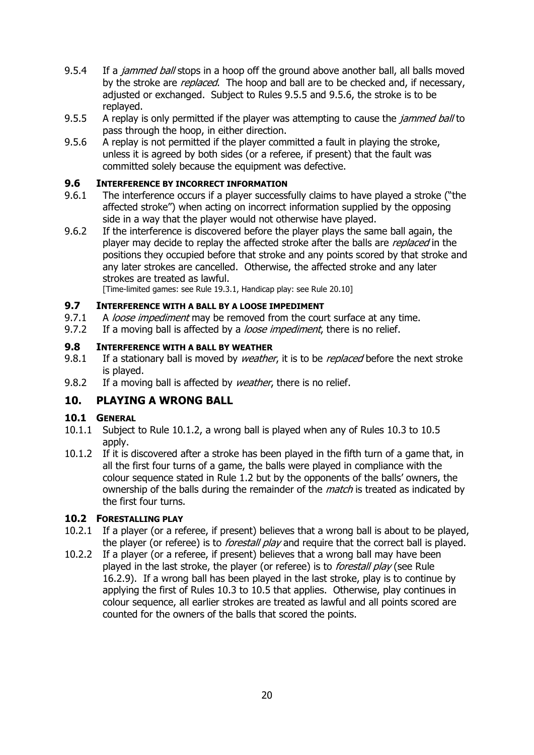- 9.5.4 If a *jammed ball* stops in a hoop off the ground above another ball, all balls moved by the stroke are *replaced*. The hoop and ball are to be checked and, if necessary, adjusted or exchanged. Subject to Rules 9.5.5 and 9.5.6, the stroke is to be replayed.
- 9.5.5 A replay is only permitted if the player was attempting to cause the *jammed ball* to pass through the hoop, in either direction.
- 9.5.6 A replay is not permitted if the player committed a fault in playing the stroke, unless it is agreed by both sides (or a referee, if present) that the fault was committed solely because the equipment was defective.

#### **9.6 INTERFERENCE BY INCORRECT INFORMATION**

- 9.6.1 The interference occurs if a player successfully claims to have played a stroke ("the affected stroke") when acting on incorrect information supplied by the opposing side in a way that the player would not otherwise have played.
- 9.6.2 If the interference is discovered before the player plays the same ball again, the player may decide to replay the affected stroke after the balls are *replaced* in the positions they occupied before that stroke and any points scored by that stroke and any later strokes are cancelled. Otherwise, the affected stroke and any later strokes are treated as lawful.

[Time-limited games: see Rule 19.3.1, Handicap play: see Rule 20.10]

#### **9.7 INTERFERENCE WITH A BALL BY A LOOSE IMPEDIMENT**

- 9.7.1 A loose impediment may be removed from the court surface at any time.
- 9.7.2 If a moving ball is affected by a *loose impediment*, there is no relief.

#### **9.8 INTERFERENCE WITH A BALL BY WEATHER**

- 9.8.1 If a stationary ball is moved by *weather*, it is to be *replaced* before the next stroke is played.
- 9.8.2 If a moving ball is affected by *weather*, there is no relief.

### <span id="page-19-0"></span>**10. PLAYING A WRONG BALL**

#### **10.1 GENERAL**

- 10.1.1 Subject to Rule 10.1.2, a wrong ball is played when any of Rules 10.3 to 10.5 apply.
- 10.1.2 If it is discovered after a stroke has been played in the fifth turn of a game that, in all the first four turns of a game, the balls were played in compliance with the colour sequence stated in Rule 1.2 but by the opponents of the balls' owners, the ownership of the balls during the remainder of the *match* is treated as indicated by the first four turns.

#### **10.2 FORESTALLING PLAY**

- 10.2.1 If a player (or a referee, if present) believes that a wrong ball is about to be played, the player (or referee) is to *forestall play* and require that the correct ball is played.
- 10.2.2 If a player (or a referee, if present) believes that a wrong ball may have been played in the last stroke, the player (or referee) is to *forestall play* (see Rule 16.2.9). If a wrong ball has been played in the last stroke, play is to continue by applying the first of Rules 10.3 to 10.5 that applies. Otherwise, play continues in colour sequence, all earlier strokes are treated as lawful and all points scored are counted for the owners of the balls that scored the points.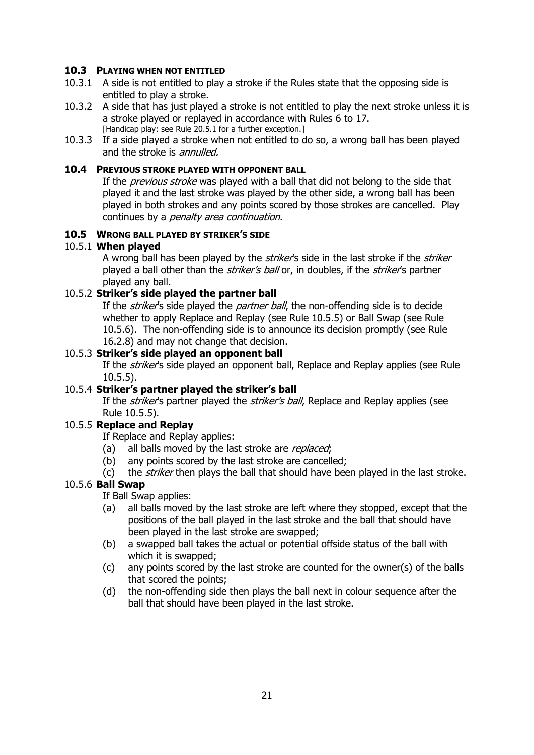#### **10.3 PLAYING WHEN NOT ENTITLED**

- 10.3.1 A side is not entitled to play a stroke if the Rules state that the opposing side is entitled to play a stroke.
- 10.3.2 A side that has just played a stroke is not entitled to play the next stroke unless it is a stroke played or replayed in accordance with Rules 6 to 17. [Handicap play: see Rule 20.5.1 for a further exception.]
- 10.3.3 If a side played a stroke when not entitled to do so, a wrong ball has been played and the stroke is *annulled*.

#### **10.4 PREVIOUS STROKE PLAYED WITH OPPONENT BALL**

If the *previous stroke* was played with a ball that did not belong to the side that played it and the last stroke was played by the other side, a wrong ball has been played in both strokes and any points scored by those strokes are cancelled. Play continues by a *penalty area continuation*.

#### **10.5 WRONG BALL PLAYED BY STRIKER'S SIDE**

#### 10.5.1 **When played**

A wrong ball has been played by the *striker's* side in the last stroke if the *striker* played a ball other than the *striker's ball* or, in doubles, if the *striker'*s partner played any ball.

#### 10.5.2 **Striker's side played the partner ball**

If the *striker's* side played the *partner ball*, the non-offending side is to decide whether to apply Replace and Replay (see Rule 10.5.5) or Ball Swap (see Rule 10.5.6). The non-offending side is to announce its decision promptly (see Rule 16.2.8) and may not change that decision.

#### 10.5.3 **Striker's side played an opponent ball**

If the *striker's* side played an opponent ball, Replace and Replay applies (see Rule 10.5.5).

#### 10.5.4 **Striker's partner played the striker's ball**

If the *striker's* partner played the *striker's ball*, Replace and Replay applies (see Rule 10.5.5).

#### 10.5.5 **Replace and Replay**

If Replace and Replay applies:

- (a) all balls moved by the last stroke are replaced;
- (b) any points scored by the last stroke are cancelled;
- (c) the *striker* then plays the ball that should have been played in the last stroke.

### 10.5.6 **Ball Swap**

If Ball Swap applies:

- (a) all balls moved by the last stroke are left where they stopped, except that the positions of the ball played in the last stroke and the ball that should have been played in the last stroke are swapped;
- (b) a swapped ball takes the actual or potential offside status of the ball with which it is swapped;
- (c) any points scored by the last stroke are counted for the owner(s) of the balls that scored the points;
- (d) the non-offending side then plays the ball next in colour sequence after the ball that should have been played in the last stroke.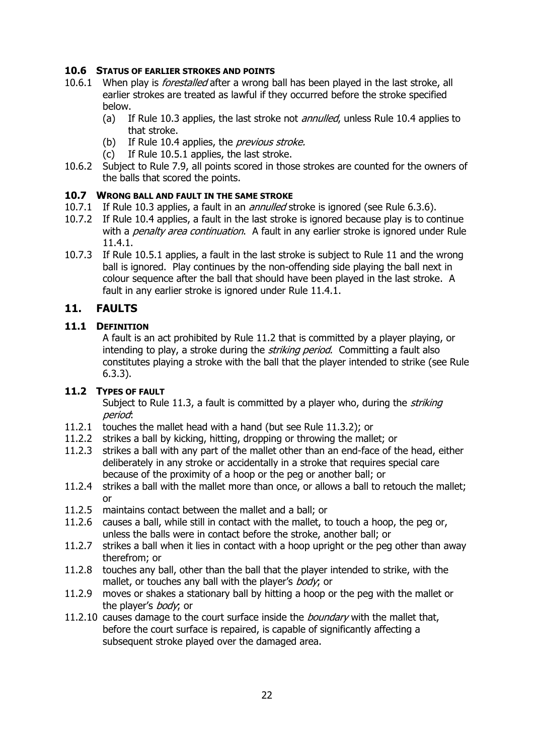#### **10.6 STATUS OF EARLIER STROKES AND POINTS**

- 10.6.1 When play is *forestalled* after a wrong ball has been played in the last stroke, all earlier strokes are treated as lawful if they occurred before the stroke specified below.
	- (a) If Rule 10.3 applies, the last stroke not *annulled*, unless Rule 10.4 applies to that stroke.
	- (b) If Rule 10.4 applies, the *previous stroke.*
	- (c) If Rule 10.5.1 applies, the last stroke.
- 10.6.2 Subject to Rule 7.9, all points scored in those strokes are counted for the owners of the balls that scored the points.

#### **10.7 WRONG BALL AND FAULT IN THE SAME STROKE**

- 10.7.1 If Rule 10.3 applies, a fault in an *annulled* stroke is ignored (see Rule 6.3.6).
- 10.7.2 If Rule 10.4 applies, a fault in the last stroke is ignored because play is to continue with a *penalty area continuation*. A fault in any earlier stroke is ignored under Rule 11.4.1.
- 10.7.3 If Rule 10.5.1 applies, a fault in the last stroke is subject to Rule 11 and the wrong ball is ignored. Play continues by the non-offending side playing the ball next in colour sequence after the ball that should have been played in the last stroke. A fault in any earlier stroke is ignored under Rule 11.4.1.

### <span id="page-21-0"></span>**11. FAULTS**

#### **11.1 DEFINITION**

A fault is an act prohibited by Rule 11.2 that is committed by a player playing, or intending to play, a stroke during the *striking period*. Committing a fault also constitutes playing a stroke with the ball that the player intended to strike (see Rule 6.3.3).

### **11.2 TYPES OF FAULT**

Subject to Rule 11.3, a fault is committed by a player who, during the *striking* period:

- 11.2.1 touches the mallet head with a hand (but see Rule 11.3.2); or
- 11.2.2 strikes a ball by kicking, hitting, dropping or throwing the mallet; or
- 11.2.3 strikes a ball with any part of the mallet other than an end-face of the head, either deliberately in any stroke or accidentally in a stroke that requires special care because of the proximity of a hoop or the peg or another ball; or
- 11.2.4 strikes a ball with the mallet more than once, or allows a ball to retouch the mallet; or
- 11.2.5 maintains contact between the mallet and a ball; or
- 11.2.6 causes a ball, while still in contact with the mallet, to touch a hoop, the peg or, unless the balls were in contact before the stroke, another ball; or
- 11.2.7 strikes a ball when it lies in contact with a hoop upright or the peg other than away therefrom; or
- 11.2.8 touches any ball, other than the ball that the player intended to strike, with the mallet, or touches any ball with the player's body, or
- 11.2.9 moves or shakes a stationary ball by hitting a hoop or the peg with the mallet or the player's *body*; or
- 11.2.10 causes damage to the court surface inside the *boundary* with the mallet that, before the court surface is repaired, is capable of significantly affecting a subsequent stroke played over the damaged area.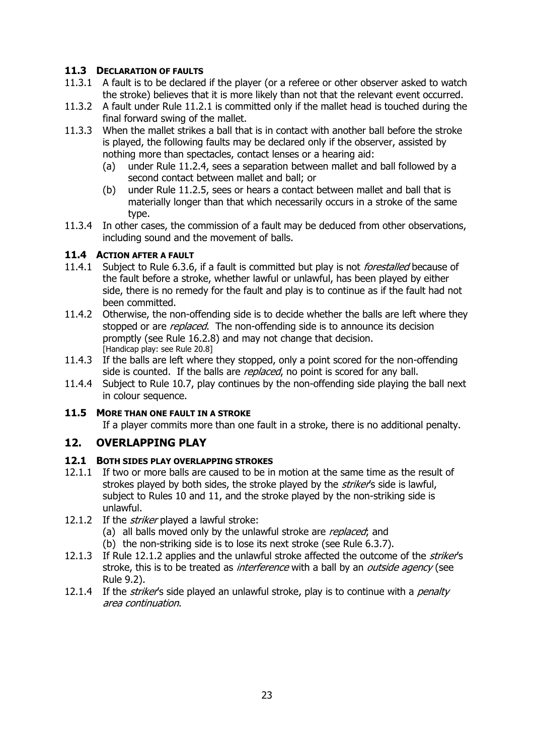#### **11.3 DECLARATION OF FAULTS**

- 11.3.1 A fault is to be declared if the player (or a referee or other observer asked to watch the stroke) believes that it is more likely than not that the relevant event occurred.
- 11.3.2 A fault under Rule 11.2.1 is committed only if the mallet head is touched during the final forward swing of the mallet.
- 11.3.3 When the mallet strikes a ball that is in contact with another ball before the stroke is played, the following faults may be declared only if the observer, assisted by nothing more than spectacles, contact lenses or a hearing aid:
	- (a) under Rule 11.2.4, sees a separation between mallet and ball followed by a second contact between mallet and ball; or
	- (b) under Rule 11.2.5, sees or hears a contact between mallet and ball that is materially longer than that which necessarily occurs in a stroke of the same type.
- 11.3.4 In other cases, the commission of a fault may be deduced from other observations, including sound and the movement of balls.

### **11.4 ACTION AFTER A FAULT**

- 11.4.1 Subject to Rule 6.3.6, if a fault is committed but play is not *forestalled* because of the fault before a stroke, whether lawful or unlawful, has been played by either side, there is no remedy for the fault and play is to continue as if the fault had not been committed.
- 11.4.2 Otherwise, the non-offending side is to decide whether the balls are left where they stopped or are *replaced*. The non-offending side is to announce its decision promptly (see Rule 16.2.8) and may not change that decision. [Handicap play: see Rule 20.8]
- 11.4.3 If the balls are left where they stopped, only a point scored for the non-offending side is counted. If the balls are *replaced*, no point is scored for any ball.
- 11.4.4 Subject to Rule 10.7, play continues by the non-offending side playing the ball next in colour sequence.

#### **11.5 MORE THAN ONE FAULT IN A STROKE**

If a player commits more than one fault in a stroke, there is no additional penalty.

### <span id="page-22-0"></span>**12. OVERLAPPING PLAY**

#### **12.1 BOTH SIDES PLAY OVERLAPPING STROKES**

- 12.1.1 If two or more balls are caused to be in motion at the same time as the result of strokes played by both sides, the stroke played by the *striker'*s side is lawful, subject to Rules 10 and 11, and the stroke played by the non-striking side is unlawful.
- 12.1.2 If the *striker* played a lawful stroke:
	- (a) all balls moved only by the unlawful stroke are replaced; and
	- (b) the non-striking side is to lose its next stroke (see Rule 6.3.7).
- 12.1.3 If Rule 12.1.2 applies and the unlawful stroke affected the outcome of the *striker's* stroke, this is to be treated as *interference* with a ball by an *outside agency* (see Rule 9.2).
- 12.1.4 If the *striker's* side played an unlawful stroke, play is to continue with a *penalty* area continuation.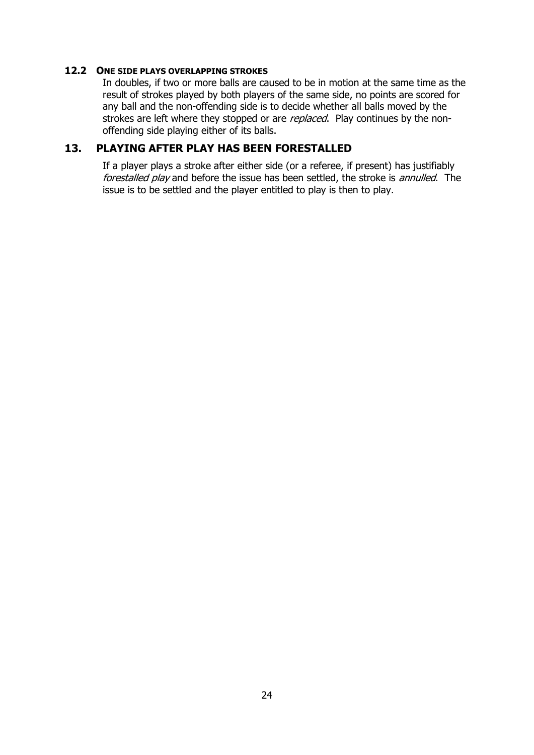#### **12.2 ONE SIDE PLAYS OVERLAPPING STROKES**

In doubles, if two or more balls are caused to be in motion at the same time as the result of strokes played by both players of the same side, no points are scored for any ball and the non-offending side is to decide whether all balls moved by the strokes are left where they stopped or are *replaced*. Play continues by the nonoffending side playing either of its balls.

### <span id="page-23-0"></span>**13. PLAYING AFTER PLAY HAS BEEN FORESTALLED**

If a player plays a stroke after either side (or a referee, if present) has justifiably forestalled play and before the issue has been settled, the stroke is annulled. The issue is to be settled and the player entitled to play is then to play.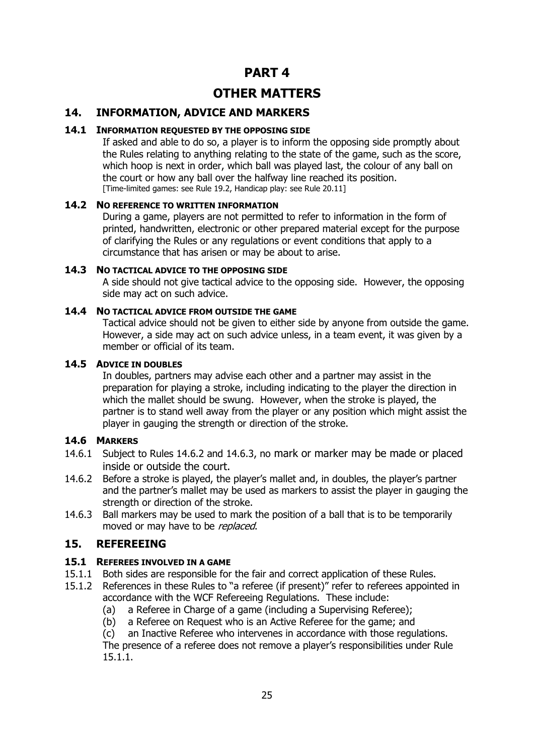## **PART 4**

## **OTHER MATTERS**

### <span id="page-24-0"></span>**14. INFORMATION, ADVICE AND MARKERS**

#### **14.1 INFORMATION REQUESTED BY THE OPPOSING SIDE**

If asked and able to do so, a player is to inform the opposing side promptly about the Rules relating to anything relating to the state of the game, such as the score, which hoop is next in order, which ball was played last, the colour of any ball on the court or how any ball over the halfway line reached its position. [Time-limited games: see Rule 19.2, Handicap play: see Rule 20.11]

#### **14.2 NO REFERENCE TO WRITTEN INFORMATION**

During a game, players are not permitted to refer to information in the form of printed, handwritten, electronic or other prepared material except for the purpose of clarifying the Rules or any regulations or event conditions that apply to a circumstance that has arisen or may be about to arise.

#### **14.3 NO TACTICAL ADVICE TO THE OPPOSING SIDE**

A side should not give tactical advice to the opposing side. However, the opposing side may act on such advice.

#### **14.4 NO TACTICAL ADVICE FROM OUTSIDE THE GAME**

Tactical advice should not be given to either side by anyone from outside the game. However, a side may act on such advice unless, in a team event, it was given by a member or official of its team.

#### **14.5 ADVICE IN DOUBLES**

In doubles, partners may advise each other and a partner may assist in the preparation for playing a stroke, including indicating to the player the direction in which the mallet should be swung. However, when the stroke is played, the partner is to stand well away from the player or any position which might assist the player in gauging the strength or direction of the stroke.

### **14.6 MARKERS**

- 14.6.1 Subject to Rules 14.6.2 and 14.6.3, no mark or marker may be made or placed inside or outside the court.
- 14.6.2 Before a stroke is played, the player's mallet and, in doubles, the player's partner and the partner's mallet may be used as markers to assist the player in gauging the strength or direction of the stroke.
- 14.6.3 Ball markers may be used to mark the position of a ball that is to be temporarily moved or may have to be replaced.

### <span id="page-24-1"></span>**15. REFEREEING**

#### **15.1 REFEREES INVOLVED IN A GAME**

- 15.1.1 Both sides are responsible for the fair and correct application of these Rules.
- 15.1.2 References in these Rules to "a referee (if present)" refer to referees appointed in accordance with the WCF Refereeing Regulations. These include:
	- (a) a Referee in Charge of a game (including a Supervising Referee);
	- (b) a Referee on Request who is an Active Referee for the game; and

(c) an Inactive Referee who intervenes in accordance with those regulations. The presence of a referee does not remove a player's responsibilities under Rule 15.1.1.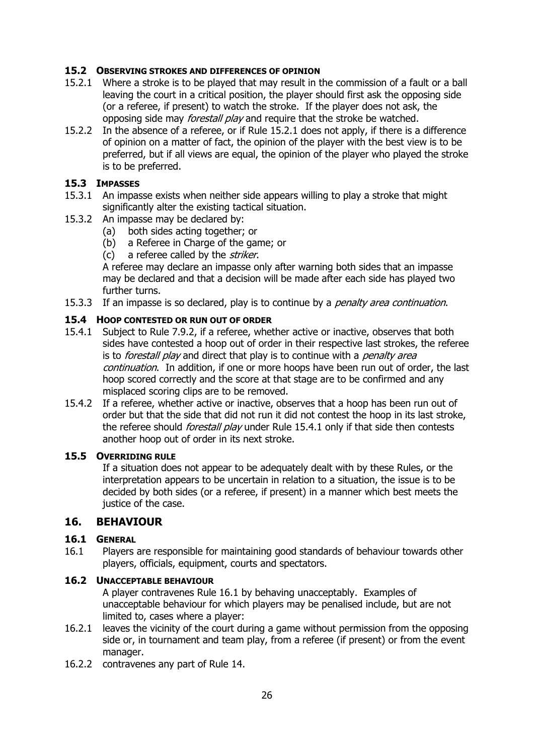#### **15.2 OBSERVING STROKES AND DIFFERENCES OF OPINION**

- 15.2.1 Where a stroke is to be played that may result in the commission of a fault or a ball leaving the court in a critical position, the player should first ask the opposing side (or a referee, if present) to watch the stroke. If the player does not ask, the opposing side may *forestall play* and require that the stroke be watched.
- 15.2.2 In the absence of a referee, or if Rule 15.2.1 does not apply, if there is a difference of opinion on a matter of fact, the opinion of the player with the best view is to be preferred, but if all views are equal, the opinion of the player who played the stroke is to be preferred.

#### **15.3 IMPASSES**

- 15.3.1 An impasse exists when neither side appears willing to play a stroke that might significantly alter the existing tactical situation.
- 15.3.2 An impasse may be declared by:
	- (a) both sides acting together; or
	- (b) a Referee in Charge of the game; or
	- (c) a referee called by the *striker*.

A referee may declare an impasse only after warning both sides that an impasse may be declared and that a decision will be made after each side has played two further turns.

15.3.3 If an impasse is so declared, play is to continue by a *penalty area continuation*.

#### **15.4 HOOP CONTESTED OR RUN OUT OF ORDER**

- 15.4.1 Subject to Rule 7.9.2, if a referee, whether active or inactive, observes that both sides have contested a hoop out of order in their respective last strokes, the referee is to *forestall play* and direct that play is to continue with a *penalty area* continuation. In addition, if one or more hoops have been run out of order, the last hoop scored correctly and the score at that stage are to be confirmed and any misplaced scoring clips are to be removed.
- 15.4.2 If a referee, whether active or inactive, observes that a hoop has been run out of order but that the side that did not run it did not contest the hoop in its last stroke, the referee should *forestall play* under Rule 15.4.1 only if that side then contests another hoop out of order in its next stroke.

#### **15.5 OVERRIDING RULE**

If a situation does not appear to be adequately dealt with by these Rules, or the interpretation appears to be uncertain in relation to a situation, the issue is to be decided by both sides (or a referee, if present) in a manner which best meets the justice of the case.

### <span id="page-25-0"></span>**16. BEHAVIOUR**

#### **16.1 GENERAL**

16.1 Players are responsible for maintaining good standards of behaviour towards other players, officials, equipment, courts and spectators.

#### **16.2 UNACCEPTABLE BEHAVIOUR**

A player contravenes Rule 16.1 by behaving unacceptably. Examples of unacceptable behaviour for which players may be penalised include, but are not limited to, cases where a player:

- 16.2.1 leaves the vicinity of the court during a game without permission from the opposing side or, in tournament and team play, from a referee (if present) or from the event manager.
- 16.2.2 contravenes any part of Rule 14.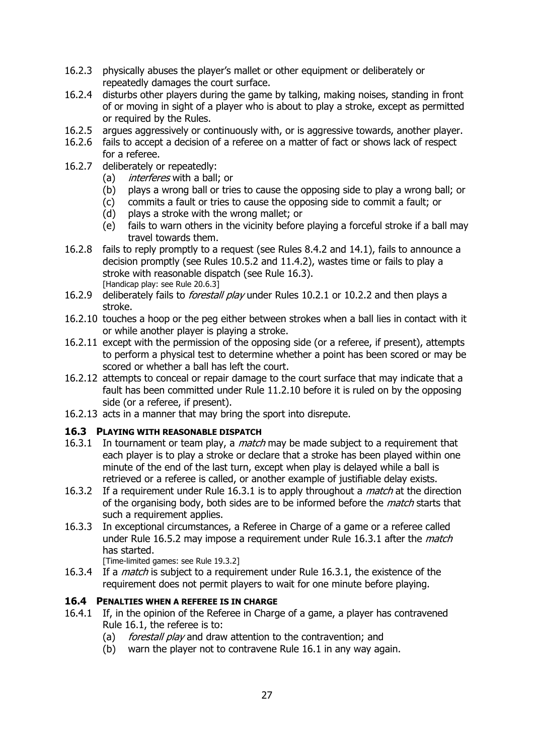- 16.2.3 physically abuses the player's mallet or other equipment or deliberately or repeatedly damages the court surface.
- 16.2.4 disturbs other players during the game by talking, making noises, standing in front of or moving in sight of a player who is about to play a stroke, except as permitted or required by the Rules.
- 16.2.5 argues aggressively or continuously with, or is aggressive towards, another player.
- 16.2.6 fails to accept a decision of a referee on a matter of fact or shows lack of respect for a referee.
- 16.2.7 deliberately or repeatedly:
	- (a) *interferes* with a ball; or
	- (b) plays a wrong ball or tries to cause the opposing side to play a wrong ball; or
	- (c) commits a fault or tries to cause the opposing side to commit a fault; or
	- (d) plays a stroke with the wrong mallet; or
	- (e) fails to warn others in the vicinity before playing a forceful stroke if a ball may travel towards them.
- 16.2.8 fails to reply promptly to a request (see Rules 8.4.2 and 14.1), fails to announce a decision promptly (see Rules 10.5.2 and 11.4.2), wastes time or fails to play a stroke with reasonable dispatch (see Rule 16.3). [Handicap play: see Rule 20.6.3]
- 16.2.9 deliberately fails to *forestall play* under Rules 10.2.1 or 10.2.2 and then plays a stroke.
- 16.2.10 touches a hoop or the peg either between strokes when a ball lies in contact with it or while another player is playing a stroke.
- 16.2.11 except with the permission of the opposing side (or a referee, if present), attempts to perform a physical test to determine whether a point has been scored or may be scored or whether a ball has left the court.
- 16.2.12 attempts to conceal or repair damage to the court surface that may indicate that a fault has been committed under Rule 11.2.10 before it is ruled on by the opposing side (or a referee, if present).
- 16.2.13 acts in a manner that may bring the sport into disrepute.

#### **16.3 PLAYING WITH REASONABLE DISPATCH**

- 16.3.1 In tournament or team play, a *match* may be made subject to a requirement that each player is to play a stroke or declare that a stroke has been played within one minute of the end of the last turn, except when play is delayed while a ball is retrieved or a referee is called, or another example of justifiable delay exists.
- 16.3.2 If a requirement under Rule 16.3.1 is to apply throughout a *match* at the direction of the organising body, both sides are to be informed before the *match* starts that such a requirement applies.
- 16.3.3 In exceptional circumstances, a Referee in Charge of a game or a referee called under Rule 16.5.2 may impose a requirement under Rule 16.3.1 after the *match* has started.

[Time-limited games: see Rule 19.3.2]

16.3.4 If a *match* is subject to a requirement under Rule 16.3.1, the existence of the requirement does not permit players to wait for one minute before playing.

#### **16.4 PENALTIES WHEN A REFEREE IS IN CHARGE**

- 16.4.1 If, in the opinion of the Referee in Charge of a game, a player has contravened Rule 16.1, the referee is to:
	- (a) *forestall play* and draw attention to the contravention; and
	- (b) warn the player not to contravene Rule 16.1 in any way again.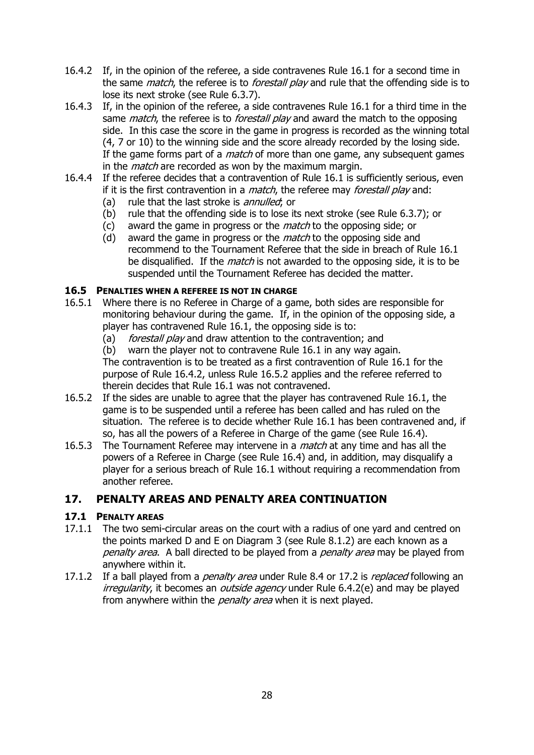- 16.4.2 If, in the opinion of the referee, a side contravenes Rule 16.1 for a second time in the same *match*, the referee is to *forestall play* and rule that the offending side is to lose its next stroke (see Rule 6.3.7).
- 16.4.3 If, in the opinion of the referee, a side contravenes Rule 16.1 for a third time in the same *match*, the referee is to *forestall play* and award the match to the opposing side. In this case the score in the game in progress is recorded as the winning total (4, 7 or 10) to the winning side and the score already recorded by the losing side. If the game forms part of a *match* of more than one game, any subsequent games in the *match* are recorded as won by the maximum margin.
- 16.4.4 If the referee decides that a contravention of Rule 16.1 is sufficiently serious, even if it is the first contravention in a *match*, the referee may *forestall play* and:
	- (a) rule that the last stroke is *annulled*; or
	- (b) rule that the offending side is to lose its next stroke (see Rule 6.3.7); or
	- (c) award the game in progress or the *match* to the opposing side; or
	- (d) award the game in progress or the *match* to the opposing side and recommend to the Tournament Referee that the side in breach of Rule 16.1 be disqualified. If the *match* is not awarded to the opposing side, it is to be suspended until the Tournament Referee has decided the matter.

### **16.5 PENALTIES WHEN A REFEREE IS NOT IN CHARGE**

- 16.5.1 Where there is no Referee in Charge of a game, both sides are responsible for monitoring behaviour during the game. If, in the opinion of the opposing side, a player has contravened Rule 16.1, the opposing side is to:
	- (a) *forestall play* and draw attention to the contravention; and
	- (b) warn the player not to contravene Rule 16.1 in any way again.

The contravention is to be treated as a first contravention of Rule 16.1 for the purpose of Rule 16.4.2, unless Rule 16.5.2 applies and the referee referred to therein decides that Rule 16.1 was not contravened.

- 16.5.2 If the sides are unable to agree that the player has contravened Rule 16.1, the game is to be suspended until a referee has been called and has ruled on the situation. The referee is to decide whether Rule 16.1 has been contravened and, if so, has all the powers of a Referee in Charge of the game (see Rule 16.4).
- 16.5.3 The Tournament Referee may intervene in a *match* at any time and has all the powers of a Referee in Charge (see Rule 16.4) and, in addition, may disqualify a player for a serious breach of Rule 16.1 without requiring a recommendation from another referee.

### <span id="page-27-0"></span>**17. PENALTY AREAS AND PENALTY AREA CONTINUATION**

### **17.1 PENALTY AREAS**

- 17.1.1 The two semi-circular areas on the court with a radius of one yard and centred on the points marked D and E on Diagram 3 (see Rule 8.1.2) are each known as a penalty area. A ball directed to be played from a penalty area may be played from anywhere within it.
- 17.1.2 If a ball played from a *penalty area* under Rule 8.4 or 17.2 is *replaced* following an irregularity, it becomes an *outside agency* under Rule 6.4.2(e) and may be played from anywhere within the *penalty area* when it is next played.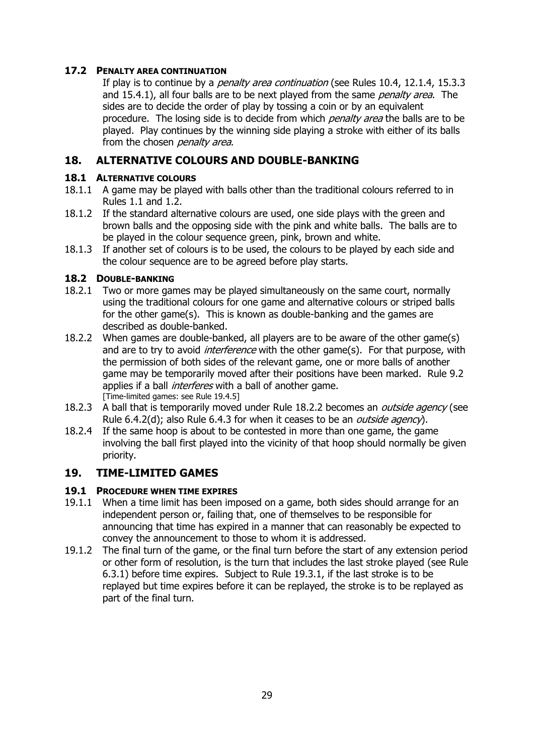### **17.2 PENALTY AREA CONTINUATION**

If play is to continue by a *penalty area continuation* (see Rules 10.4, 12.1.4, 15.3.3 and 15.4.1), all four balls are to be next played from the same penalty area. The sides are to decide the order of play by tossing a coin or by an equivalent procedure. The losing side is to decide from which *penalty area* the balls are to be played. Play continues by the winning side playing a stroke with either of its balls from the chosen *penalty area*.

### <span id="page-28-0"></span>**18. ALTERNATIVE COLOURS AND DOUBLE-BANKING**

### **18.1 ALTERNATIVE COLOURS**

- 18.1.1 A game may be played with balls other than the traditional colours referred to in Rules 1.1 and 1.2.
- 18.1.2 If the standard alternative colours are used, one side plays with the green and brown balls and the opposing side with the pink and white balls. The balls are to be played in the colour sequence green, pink, brown and white.
- 18.1.3 If another set of colours is to be used, the colours to be played by each side and the colour sequence are to be agreed before play starts.

### **18.2 DOUBLE-BANKING**

- 18.2.1 Two or more games may be played simultaneously on the same court, normally using the traditional colours for one game and alternative colours or striped balls for the other game(s). This is known as double-banking and the games are described as double-banked.
- 18.2.2 When games are double-banked, all players are to be aware of the other game(s) and are to try to avoid *interference* with the other game(s). For that purpose, with the permission of both sides of the relevant game, one or more balls of another game may be temporarily moved after their positions have been marked. Rule 9.2 applies if a ball *interferes* with a ball of another game. [Time-limited games: see Rule 19.4.5]
- 18.2.3 A ball that is temporarily moved under Rule 18.2.2 becomes an *outside agency* (see Rule 6.4.2(d); also Rule 6.4.3 for when it ceases to be an *outside agency*).
- 18.2.4 If the same hoop is about to be contested in more than one game, the game involving the ball first played into the vicinity of that hoop should normally be given priority.

### <span id="page-28-1"></span>**19. TIME-LIMITED GAMES**

### **19.1 PROCEDURE WHEN TIME EXPIRES**

- 19.1.1 When a time limit has been imposed on a game, both sides should arrange for an independent person or, failing that, one of themselves to be responsible for announcing that time has expired in a manner that can reasonably be expected to convey the announcement to those to whom it is addressed.
- 19.1.2 The final turn of the game, or the final turn before the start of any extension period or other form of resolution, is the turn that includes the last stroke played (see Rule 6.3.1) before time expires. Subject to Rule 19.3.1, if the last stroke is to be replayed but time expires before it can be replayed, the stroke is to be replayed as part of the final turn.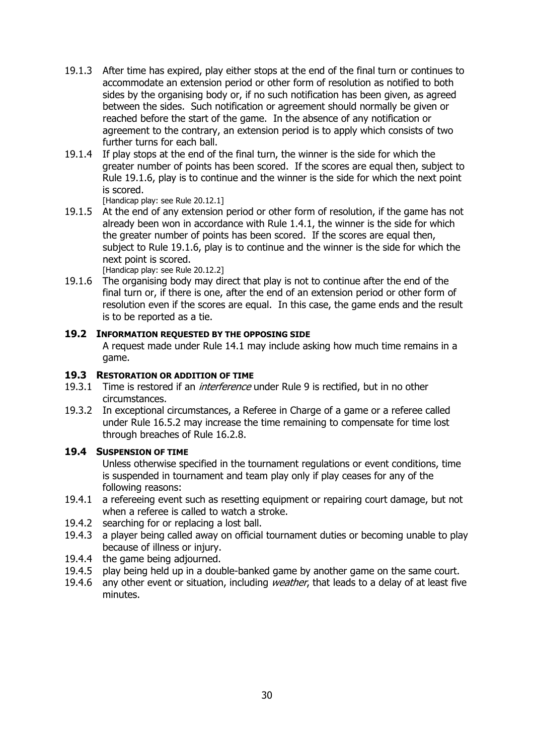- 19.1.3 After time has expired, play either stops at the end of the final turn or continues to accommodate an extension period or other form of resolution as notified to both sides by the organising body or, if no such notification has been given, as agreed between the sides. Such notification or agreement should normally be given or reached before the start of the game. In the absence of any notification or agreement to the contrary, an extension period is to apply which consists of two further turns for each ball.
- 19.1.4 If play stops at the end of the final turn, the winner is the side for which the greater number of points has been scored. If the scores are equal then, subject to Rule 19.1.6, play is to continue and the winner is the side for which the next point is scored.

[Handicap play: see Rule 20.12.1]

19.1.5 At the end of any extension period or other form of resolution, if the game has not already been won in accordance with Rule 1.4.1, the winner is the side for which the greater number of points has been scored. If the scores are equal then, subject to Rule 19.1.6, play is to continue and the winner is the side for which the next point is scored.

[Handicap play: see Rule 20.12.2]

19.1.6 The organising body may direct that play is not to continue after the end of the final turn or, if there is one, after the end of an extension period or other form of resolution even if the scores are equal. In this case, the game ends and the result is to be reported as a tie.

#### **19.2 INFORMATION REQUESTED BY THE OPPOSING SIDE**

A request made under Rule 14.1 may include asking how much time remains in a game.

#### **19.3 RESTORATION OR ADDITION OF TIME**

- 19.3.1 Time is restored if an *interference* under Rule 9 is rectified, but in no other circumstances.
- 19.3.2 In exceptional circumstances, a Referee in Charge of a game or a referee called under Rule 16.5.2 may increase the time remaining to compensate for time lost through breaches of Rule 16.2.8.

#### **19.4 SUSPENSION OF TIME**

Unless otherwise specified in the tournament regulations or event conditions, time is suspended in tournament and team play only if play ceases for any of the following reasons:

- 19.4.1 a refereeing event such as resetting equipment or repairing court damage, but not when a referee is called to watch a stroke.
- 19.4.2 searching for or replacing a lost ball.
- 19.4.3 a player being called away on official tournament duties or becoming unable to play because of illness or injury.
- 19.4.4 the game being adjourned.
- 19.4.5 play being held up in a double-banked game by another game on the same court.
- 19.4.6 any other event or situation, including weather, that leads to a delay of at least five minutes.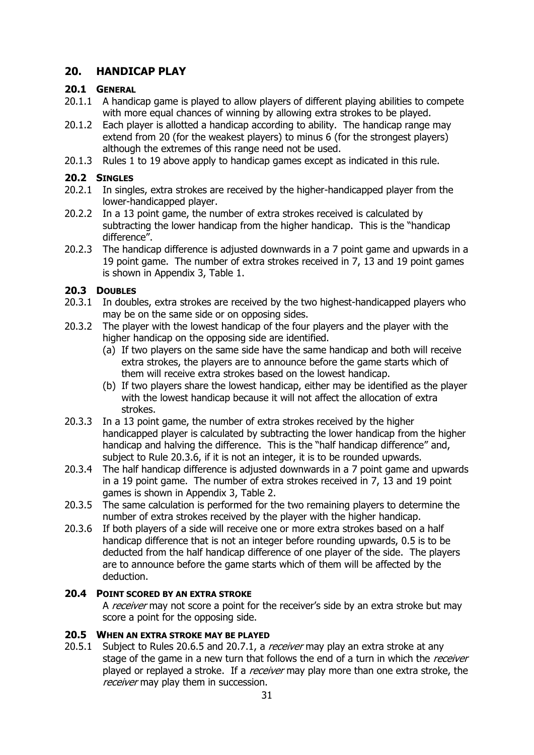### <span id="page-30-0"></span>**20. HANDICAP PLAY**

#### **20.1 GENERAL**

- 20.1.1 A handicap game is played to allow players of different playing abilities to compete with more equal chances of winning by allowing extra strokes to be played.
- 20.1.2 Each player is allotted a handicap according to ability. The handicap range may extend from 20 (for the weakest players) to minus 6 (for the strongest players) although the extremes of this range need not be used.
- 20.1.3 Rules 1 to 19 above apply to handicap games except as indicated in this rule.

### **20.2 SINGLES**

- 20.2.1 In singles, extra strokes are received by the higher-handicapped player from the lower-handicapped player.
- 20.2.2 In a 13 point game, the number of extra strokes received is calculated by subtracting the lower handicap from the higher handicap. This is the "handicap difference".
- 20.2.3 The handicap difference is adjusted downwards in a 7 point game and upwards in a 19 point game. The number of extra strokes received in 7, 13 and 19 point games is shown in Appendix 3, Table 1.

### **20.3 DOUBLES**

- 20.3.1 In doubles, extra strokes are received by the two highest-handicapped players who may be on the same side or on opposing sides.
- 20.3.2 The player with the lowest handicap of the four players and the player with the higher handicap on the opposing side are identified.
	- (a) If two players on the same side have the same handicap and both will receive extra strokes, the players are to announce before the game starts which of them will receive extra strokes based on the lowest handicap.
	- (b) If two players share the lowest handicap, either may be identified as the player with the lowest handicap because it will not affect the allocation of extra strokes.
- 20.3.3 In a 13 point game, the number of extra strokes received by the higher handicapped player is calculated by subtracting the lower handicap from the higher handicap and halving the difference. This is the "half handicap difference" and, subject to Rule 20.3.6, if it is not an integer, it is to be rounded upwards.
- 20.3.4 The half handicap difference is adjusted downwards in a 7 point game and upwards in a 19 point game. The number of extra strokes received in 7, 13 and 19 point games is shown in Appendix 3, Table 2.
- 20.3.5 The same calculation is performed for the two remaining players to determine the number of extra strokes received by the player with the higher handicap.
- 20.3.6 If both players of a side will receive one or more extra strokes based on a half handicap difference that is not an integer before rounding upwards, 0.5 is to be deducted from the half handicap difference of one player of the side. The players are to announce before the game starts which of them will be affected by the deduction.

### **20.4 POINT SCORED BY AN EXTRA STROKE**

A receiver may not score a point for the receiver's side by an extra stroke but may score a point for the opposing side.

### **20.5 WHEN AN EXTRA STROKE MAY BE PLAYED**

20.5.1 Subject to Rules 20.6.5 and 20.7.1, a receiver may play an extra stroke at any stage of the game in a new turn that follows the end of a turn in which the receiver played or replayed a stroke. If a *receiver* may play more than one extra stroke, the receiver may play them in succession.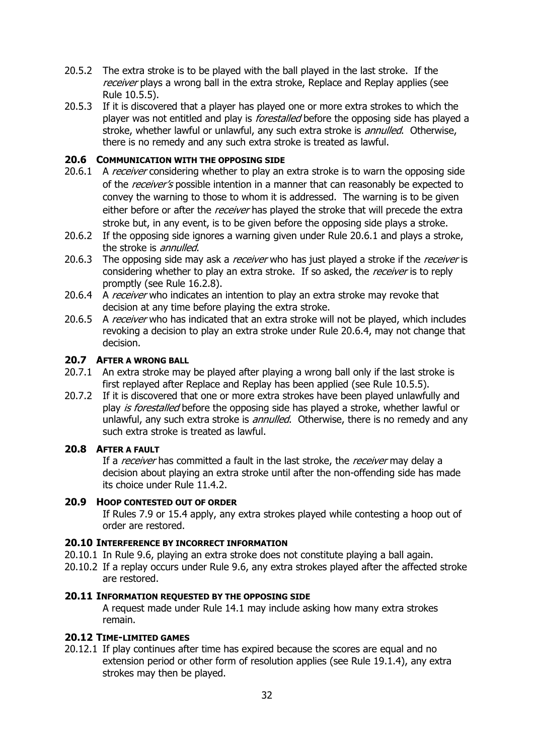- 20.5.2 The extra stroke is to be played with the ball played in the last stroke. If the receiver plays a wrong ball in the extra stroke, Replace and Replay applies (see Rule 10.5.5).
- 20.5.3 If it is discovered that a player has played one or more extra strokes to which the player was not entitled and play is *forestalled* before the opposing side has played a stroke, whether lawful or unlawful, any such extra stroke is *annulled*. Otherwise, there is no remedy and any such extra stroke is treated as lawful.

#### **20.6 COMMUNICATION WITH THE OPPOSING SIDE**

- 20.6.1 A receiver considering whether to play an extra stroke is to warn the opposing side of the receiver's possible intention in a manner that can reasonably be expected to convey the warning to those to whom it is addressed. The warning is to be given either before or after the *receiver* has played the stroke that will precede the extra stroke but, in any event, is to be given before the opposing side plays a stroke.
- 20.6.2 If the opposing side ignores a warning given under Rule 20.6.1 and plays a stroke, the stroke is *annulled*.
- 20.6.3 The opposing side may ask a *receiver* who has just played a stroke if the *receiver* is considering whether to play an extra stroke. If so asked, the receiver is to reply promptly (see Rule 16.2.8).
- 20.6.4 A receiver who indicates an intention to play an extra stroke may revoke that decision at any time before playing the extra stroke.
- 20.6.5 A receiver who has indicated that an extra stroke will not be played, which includes revoking a decision to play an extra stroke under Rule 20.6.4, may not change that decision.

#### **20.7 AFTER A WRONG BALL**

- 20.7.1 An extra stroke may be played after playing a wrong ball only if the last stroke is first replayed after Replace and Replay has been applied (see Rule 10.5.5).
- 20.7.2 If it is discovered that one or more extra strokes have been played unlawfully and play is forestalled before the opposing side has played a stroke, whether lawful or unlawful, any such extra stroke is *annulled*. Otherwise, there is no remedy and any such extra stroke is treated as lawful.

#### **20.8 AFTER A FAULT**

If a receiver has committed a fault in the last stroke, the receiver may delay a decision about playing an extra stroke until after the non-offending side has made its choice under Rule 11.4.2.

#### **20.9 HOOP CONTESTED OUT OF ORDER**

If Rules 7.9 or 15.4 apply, any extra strokes played while contesting a hoop out of order are restored.

#### **20.10 INTERFERENCE BY INCORRECT INFORMATION**

- 20.10.1 In Rule 9.6, playing an extra stroke does not constitute playing a ball again.
- 20.10.2 If a replay occurs under Rule 9.6, any extra strokes played after the affected stroke are restored.

#### **20.11 INFORMATION REQUESTED BY THE OPPOSING SIDE**

A request made under Rule 14.1 may include asking how many extra strokes remain.

#### **20.12 TIME-LIMITED GAMES**

20.12.1 If play continues after time has expired because the scores are equal and no extension period or other form of resolution applies (see Rule 19.1.4), any extra strokes may then be played.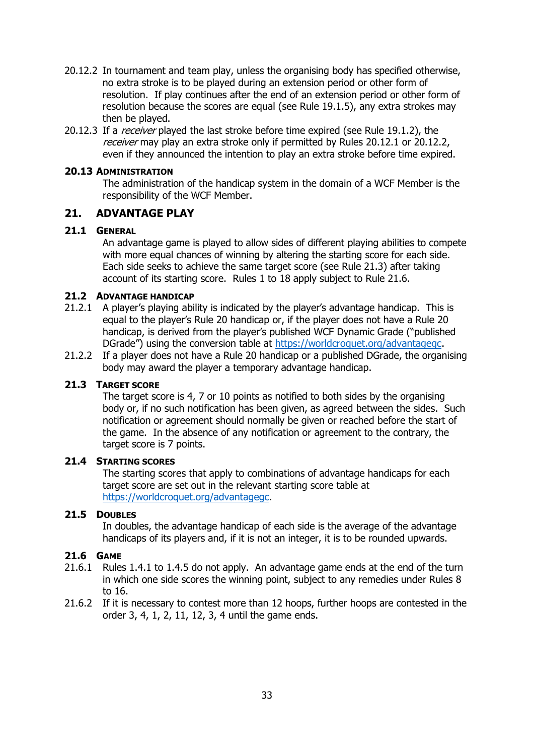- 20.12.2 In tournament and team play, unless the organising body has specified otherwise, no extra stroke is to be played during an extension period or other form of resolution. If play continues after the end of an extension period or other form of resolution because the scores are equal (see Rule 19.1.5), any extra strokes may then be played.
- 20.12.3 If a *receiver* played the last stroke before time expired (see Rule 19.1.2), the receiver may play an extra stroke only if permitted by Rules 20.12.1 or 20.12.2, even if they announced the intention to play an extra stroke before time expired.

#### **20.13 ADMINISTRATION**

The administration of the handicap system in the domain of a WCF Member is the responsibility of the WCF Member.

#### <span id="page-32-0"></span>**21. ADVANTAGE PLAY**

#### **21.1 GENERAL**

An advantage game is played to allow sides of different playing abilities to compete with more equal chances of winning by altering the starting score for each side. Each side seeks to achieve the same target score (see Rule 21.3) after taking account of its starting score. Rules 1 to 18 apply subject to Rule 21.6.

#### **21.2 ADVANTAGE HANDICAP**

- 21.2.1 A player's playing ability is indicated by the player's advantage handicap. This is equal to the player's Rule 20 handicap or, if the player does not have a Rule 20 handicap, is derived from the player's published WCF Dynamic Grade ("published DGrade") using the conversion table at [https://worldcroquet.org/advantagegc.](https://worldcroquet.org/advantagegc)
- 21.2.2 If a player does not have a Rule 20 handicap or a published DGrade, the organising body may award the player a temporary advantage handicap.

#### **21.3 TARGET SCORE**

The target score is 4, 7 or 10 points as notified to both sides by the organising body or, if no such notification has been given, as agreed between the sides. Such notification or agreement should normally be given or reached before the start of the game. In the absence of any notification or agreement to the contrary, the target score is 7 points.

#### **21.4 STARTING SCORES**

The starting scores that apply to combinations of advantage handicaps for each target score are set out in the relevant starting score table at [https://worldcroquet.org/advantagegc.](https://worldcroquet.org/advantagegc)

#### **21.5 DOUBLES**

In doubles, the advantage handicap of each side is the average of the advantage handicaps of its players and, if it is not an integer, it is to be rounded upwards.

#### **21.6 GAME**

- 21.6.1 Rules 1.4.1 to 1.4.5 do not apply. An advantage game ends at the end of the turn in which one side scores the winning point, subject to any remedies under Rules 8 to 16.
- 21.6.2 If it is necessary to contest more than 12 hoops, further hoops are contested in the order 3, 4, 1, 2, 11, 12, 3, 4 until the game ends.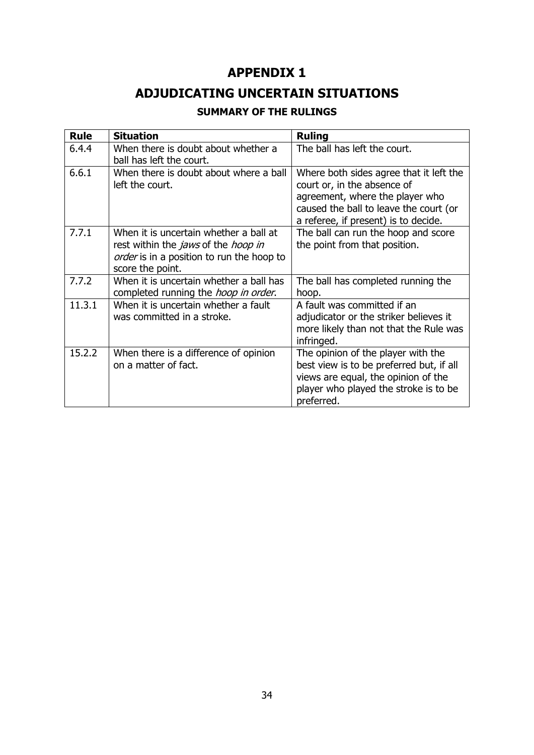## **APPENDIX 1**

## **ADJUDICATING UNCERTAIN SITUATIONS**

### **SUMMARY OF THE RULINGS**

<span id="page-33-0"></span>

| <b>Rule</b> | <b>Situation</b>                                                                                                                                             | <b>Ruling</b>                                                                                                                                                                               |
|-------------|--------------------------------------------------------------------------------------------------------------------------------------------------------------|---------------------------------------------------------------------------------------------------------------------------------------------------------------------------------------------|
| 6.4.4       | When there is doubt about whether a<br>ball has left the court.                                                                                              | The ball has left the court.                                                                                                                                                                |
| 6.6.1       | When there is doubt about where a ball<br>left the court.                                                                                                    | Where both sides agree that it left the<br>court or, in the absence of<br>agreement, where the player who<br>caused the ball to leave the court (or<br>a referee, if present) is to decide. |
| 7.7.1       | When it is uncertain whether a ball at<br>rest within the <i>jaws</i> of the <i>hoop in</i><br>order is in a position to run the hoop to<br>score the point. | The ball can run the hoop and score<br>the point from that position.                                                                                                                        |
| 7.7.2       | When it is uncertain whether a ball has<br>completed running the <i>hoop in order</i> .                                                                      | The ball has completed running the<br>hoop.                                                                                                                                                 |
| 11.3.1      | When it is uncertain whether a fault<br>was committed in a stroke.                                                                                           | A fault was committed if an<br>adjudicator or the striker believes it<br>more likely than not that the Rule was<br>infringed.                                                               |
| 15.2.2      | When there is a difference of opinion<br>on a matter of fact.                                                                                                | The opinion of the player with the<br>best view is to be preferred but, if all<br>views are equal, the opinion of the<br>player who played the stroke is to be<br>preferred.                |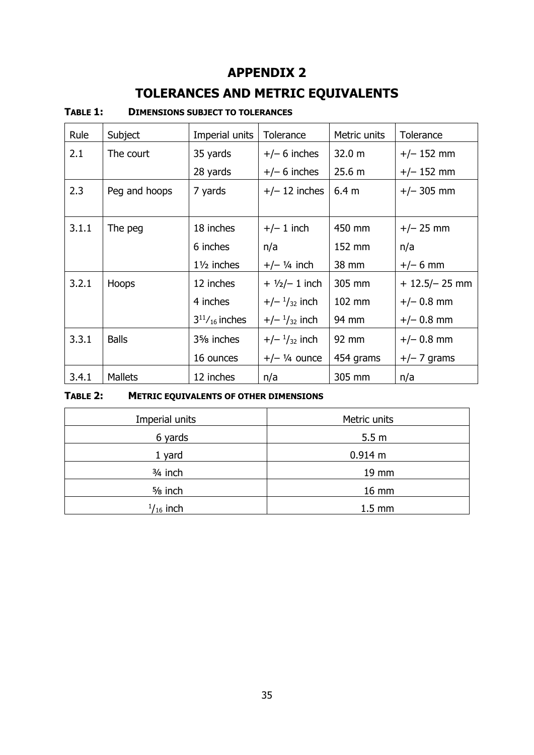## **APPENDIX 2**

# **TOLERANCES AND METRIC EQUIVALENTS**

#### <span id="page-34-0"></span>**TABLE 1: DIMENSIONS SUBJECT TO TOLERANCES**

| Rule  | Subject        | Imperial units                       | Tolerance              | Metric units     | Tolerance        |
|-------|----------------|--------------------------------------|------------------------|------------------|------------------|
| 2.1   | The court      | 35 yards                             | $+/- 6$ inches         | 32.0 m           | $+/- 152$ mm     |
|       |                | 28 yards                             | $+/- 6$ inches         | 25.6 m           | $+/- 152$ mm     |
| 2.3   | Peg and hoops  | 7 yards                              | $+/- 12$ inches        | 6.4 <sub>m</sub> | $+/- 305$ mm     |
|       |                |                                      |                        |                  |                  |
| 3.1.1 | The peg        | 18 inches                            | $+/- 1$ inch           | 450 mm           | $+/- 25$ mm      |
|       |                | 6 inches                             | n/a                    | 152 mm           | n/a              |
|       |                | $1\frac{1}{2}$ inches                | $+/-$ 1/4 inch         | 38 mm            | $+/- 6$ mm       |
| 3.2.1 | <b>Hoops</b>   | 12 inches                            | $+ 1/2/- 1$ inch       | 305 mm           | $+ 12.5/- 25$ mm |
|       |                | 4 inches                             | $+/ \frac{1}{32}$ inch | 102 mm           | $+/- 0.8$ mm     |
|       |                | $3^{11}/_{16}$ inches                | $+/ \frac{1}{32}$ inch | 94 mm            | $+/- 0.8$ mm     |
| 3.3.1 | <b>Balls</b>   | 3 <sup>5</sup> / <sub>8</sub> inches | $+/ \frac{1}{32}$ inch | 92 mm            | $+/- 0.8$ mm     |
|       |                | 16 ounces                            | $+/-$ 1/4 ounce        | 454 grams        | $+/- 7$ grams    |
| 3.4.1 | <b>Mallets</b> | 12 inches                            | n/a                    | 305 mm           | n/a              |

### **TABLE 2: METRIC EQUIVALENTS OF OTHER DIMENSIONS**

| Imperial units    | Metric units     |  |  |
|-------------------|------------------|--|--|
| 6 yards           | 5.5 <sub>m</sub> |  |  |
| 1 yard            | 0.914 m          |  |  |
| $3/4$ inch        | 19 mm            |  |  |
| $5/8$ inch        | 16 mm            |  |  |
| $^{1}/_{16}$ inch | $1.5 \text{ mm}$ |  |  |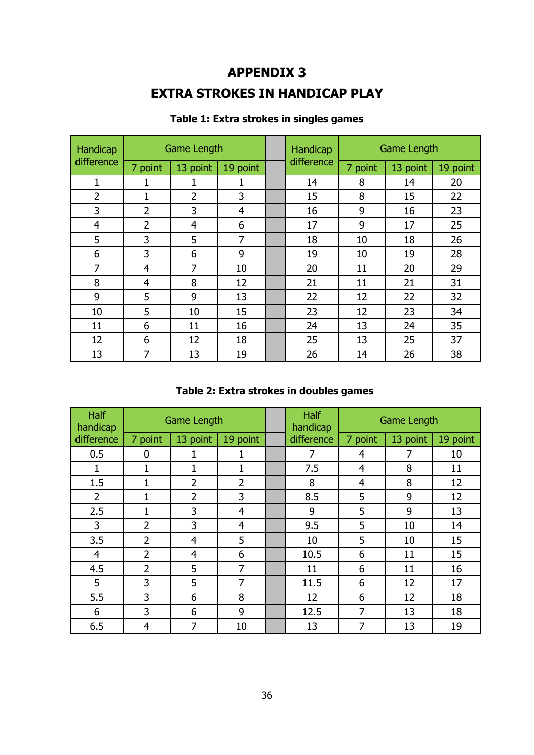## **APPENDIX 3**

## **EXTRA STROKES IN HANDICAP PLAY**

<span id="page-35-0"></span>

| Handicap       | Game Length    |                |          | Handicap   | <b>Game Length</b> |          |          |
|----------------|----------------|----------------|----------|------------|--------------------|----------|----------|
| difference     | 7 point        | 13 point       | 19 point | difference | 7 point            | 13 point | 19 point |
| 1              |                | 1              | 1        | 14         | 8                  | 14       | 20       |
| $\overline{2}$ | 1              | 2              | 3        | 15         | 8                  | 15       | 22       |
| 3              | $\overline{2}$ | 3              | 4        | 16         | 9                  | 16       | 23       |
| $\overline{4}$ | 2              | $\overline{4}$ | 6        | 17         | 9                  | 17       | 25       |
| 5              | 3              | 5              | 7        | 18         | 10                 | 18       | 26       |
| 6              | 3              | 6              | 9        | 19         | 10                 | 19       | 28       |
| 7              | $\overline{4}$ | 7              | 10       | 20         | 11                 | 20       | 29       |
| 8              | $\overline{4}$ | 8              | 12       | 21         | 11                 | 21       | 31       |
| 9              | 5              | 9              | 13       | 22         | 12                 | 22       | 32       |
| 10             | 5              | 10             | 15       | 23         | 12                 | 23       | 34       |
| 11             | 6              | 11             | 16       | 24         | 13                 | 24       | 35       |
| 12             | 6              | 12             | 18       | 25         | 13                 | 25       | 37       |
| 13             | 7              | 13             | 19       | 26         | 14                 | 26       | 38       |

### **Table 1: Extra strokes in singles games**

### **Table 2: Extra strokes in doubles games**

| <b>Half</b><br>handicap | Game Length    |                |                | <b>Half</b><br>handicap | <b>Game Length</b> |          |          |
|-------------------------|----------------|----------------|----------------|-------------------------|--------------------|----------|----------|
| difference              | 7 point        | 13 point       | 19 point       | difference              | 7 point            | 13 point | 19 point |
| 0.5                     | 0              | 1              | 1              | 7                       | 4                  | 7        | 10       |
| $\mathbf{1}$            | 1              | $\mathbf{1}$   | 1              | 7.5                     | $\overline{4}$     | 8        | 11       |
| 1.5                     | 1              | $\overline{2}$ | $\overline{2}$ | 8                       | 4                  | 8        | 12       |
| $\overline{2}$          | 1              | $\overline{2}$ | 3              | 8.5                     | 5                  | 9        | 12       |
| 2.5                     | 1              | 3              | $\overline{4}$ | 9                       | 5                  | 9        | 13       |
| 3                       | $\overline{2}$ | 3              | $\overline{4}$ | 9.5                     | 5                  | 10       | 14       |
| 3.5                     | $\overline{2}$ | $\overline{4}$ | 5              | 10                      | 5                  | 10       | 15       |
| $\overline{4}$          | $\overline{2}$ | $\overline{4}$ | 6              | 10.5                    | 6                  | 11       | 15       |
| 4.5                     | $\overline{2}$ | 5              | 7              | 11                      | 6                  | 11       | 16       |
| 5                       | 3              | 5              | $\overline{7}$ | 11.5                    | 6                  | 12       | 17       |
| 5.5                     | 3              | 6              | 8              | 12                      | 6                  | 12       | 18       |
| 6                       | 3              | 6              | 9              | 12.5                    | $\overline{7}$     | 13       | 18       |
| 6.5                     | $\overline{4}$ | 7              | 10             | 13                      | 7                  | 13       | 19       |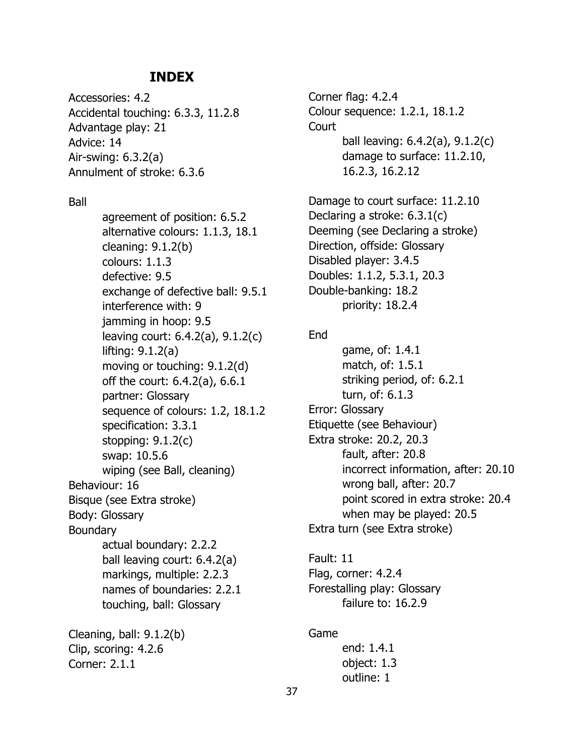### **INDEX**

<span id="page-36-0"></span>Accessories: 4.2 Accidental touching: 6.3.3, 11.2.8 Advantage play: 21 Advice: 14 Air-swing: 6.3.2(a) Annulment of stroke: 6.3.6

Ball

agreement of position: 6.5.2 alternative colours: 1.1.3, 18.1 cleaning: 9.1.2(b) colours: 1.1.3 defective: 9.5 exchange of defective ball: 9.5.1 interference with: 9 jamming in hoop: 9.5 leaving court: 6.4.2(a), 9.1.2(c) lifting: 9.1.2(a) moving or touching: 9.1.2(d) off the court: 6.4.2(a), 6.6.1 partner: Glossary sequence of colours: 1.2, 18.1.2 specification: 3.3.1 stopping: 9.1.2(c) swap: 10.5.6 wiping (see Ball, cleaning) Behaviour: 16 Bisque (see Extra stroke) Body: Glossary Boundary actual boundary: 2.2.2 ball leaving court: 6.4.2(a) markings, multiple: 2.2.3 names of boundaries: 2.2.1 touching, ball: Glossary Cleaning, ball: 9.1.2(b)

Clip, scoring: 4.2.6 Corner: 2.1.1

Corner flag: 4.2.4 Colour sequence: 1.2.1, 18.1.2 **Court** ball leaving: 6.4.2(a), 9.1.2(c) damage to surface: 11.2.10, 16.2.3, 16.2.12

Damage to court surface: 11.2.10 Declaring a stroke: 6.3.1(c) Deeming (see Declaring a stroke) Direction, offside: Glossary Disabled player: 3.4.5 Doubles: 1.1.2, 5.3.1, 20.3 Double-banking: 18.2 priority: 18.2.4

End

game, of: 1.4.1 match, of: 1.5.1 striking period, of: 6.2.1 turn, of: 6.1.3 Error: Glossary Etiquette (see Behaviour) Extra stroke: 20.2, 20.3 fault, after: 20.8 incorrect information, after: 20.10 wrong ball, after: 20.7 point scored in extra stroke: 20.4 when may be played: 20.5 Extra turn (see Extra stroke)

Fault: 11 Flag, corner: 4.2.4 Forestalling play: Glossary failure to: 16.2.9

#### Game

end: 1.4.1 object: 1.3 outline: 1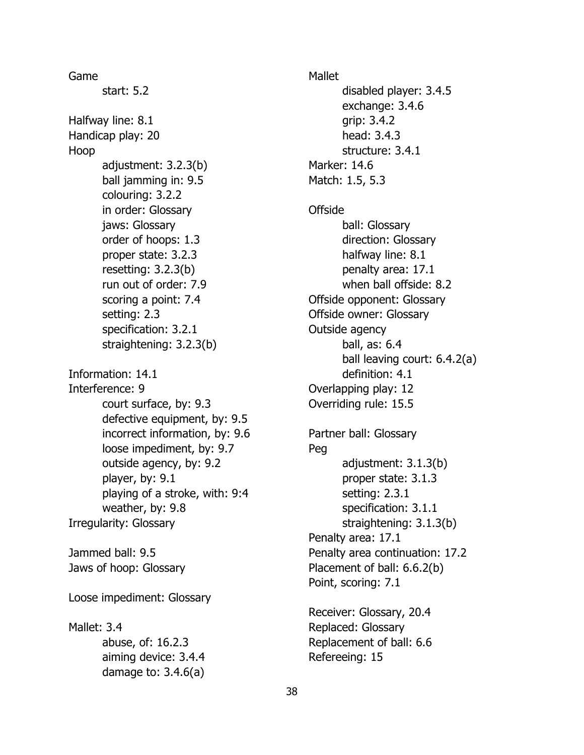Game start: 5.2 Halfway line: 8.1 Handicap play: 20 Hoop adjustment: 3.2.3(b) ball jamming in: 9.5 colouring: 3.2.2 in order: Glossary jaws: Glossary order of hoops: 1.3 proper state: 3.2.3 resetting: 3.2.3(b) run out of order: 7.9 scoring a point: 7.4 setting: 2.3 specification: 3.2.1 straightening: 3.2.3(b) Information: 14.1 Interference: 9 court surface, by: 9.3 defective equipment, by: 9.5 incorrect information, by: 9.6 loose impediment, by: 9.7 outside agency, by: 9.2 player, by: 9.1 playing of a stroke, with: 9:4 weather, by: 9.8 Irregularity: Glossary Jammed ball: 9.5 Jaws of hoop: Glossary Loose impediment: Glossary Mallet: 3.4 abuse, of: 16.2.3 aiming device: 3.4.4 damage to: 3.4.6(a)

Mallet disabled player: 3.4.5 exchange: 3.4.6 grip: 3.4.2 head: 3.4.3 structure: 3.4.1 Marker: 14.6 Match: 1.5, 5.3 **Offside** ball: Glossary direction: Glossary halfway line: 8.1 penalty area: 17.1 when ball offside: 8.2 Offside opponent: Glossary Offside owner: Glossary Outside agency ball, as: 6.4 ball leaving court: 6.4.2(a) definition: 4.1 Overlapping play: 12 Overriding rule: 15.5 Partner ball: Glossary Peg adjustment: 3.1.3(b) proper state: 3.1.3 setting: 2.3.1 specification: 3.1.1 straightening: 3.1.3(b) Penalty area: 17.1 Penalty area continuation: 17.2 Placement of ball: 6.6.2(b) Point, scoring: 7.1 Receiver: Glossary, 20.4

Replaced: Glossary Replacement of ball: 6.6 Refereeing: 15